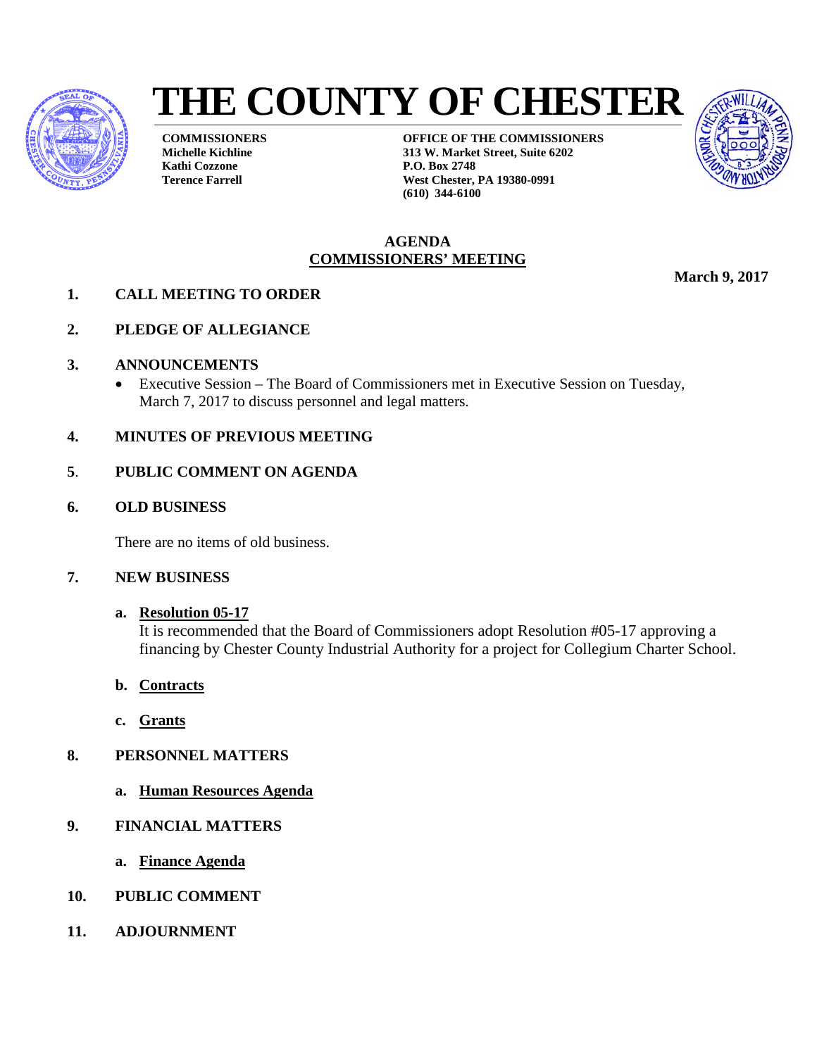

# **THE COUNTY OF CHESTER**

**COMMISSIONERS Michelle Kichline Kathi Cozzone Terence Farrell**

**OFFICE OF THE COMMISSIONERS 313 W. Market Street, Suite 6202 P.O. Box 2748 West Chester, PA 19380-0991 (610) 344-6100**



#### **AGENDA COMMISSIONERS' MEETING**

**March 9, 2017** 

- **1. CALL MEETING TO ORDER**
- **2. PLEDGE OF ALLEGIANCE**
- **3. ANNOUNCEMENTS**
	- Executive Session The Board of Commissioners met in Executive Session on Tuesday, March 7, 2017 to discuss personnel and legal matters.
- **4. MINUTES OF PREVIOUS MEETING**
- **5**. **PUBLIC COMMENT ON AGENDA**
- **6. OLD BUSINESS**

There are no items of old business.

## **7. NEW BUSINESS**

## **a. Resolution 05-17**

It is recommended that the Board of Commissioners adopt Resolution #05-17 approving a financing by Chester County Industrial Authority for a project for Collegium Charter School.

- **b. Contracts**
- **c. Grants**
- **8. PERSONNEL MATTERS**
	- **a. Human Resources Agenda**
- **9. FINANCIAL MATTERS**
	- **a. Finance Agenda**
- **10. PUBLIC COMMENT**
- **11. ADJOURNMENT**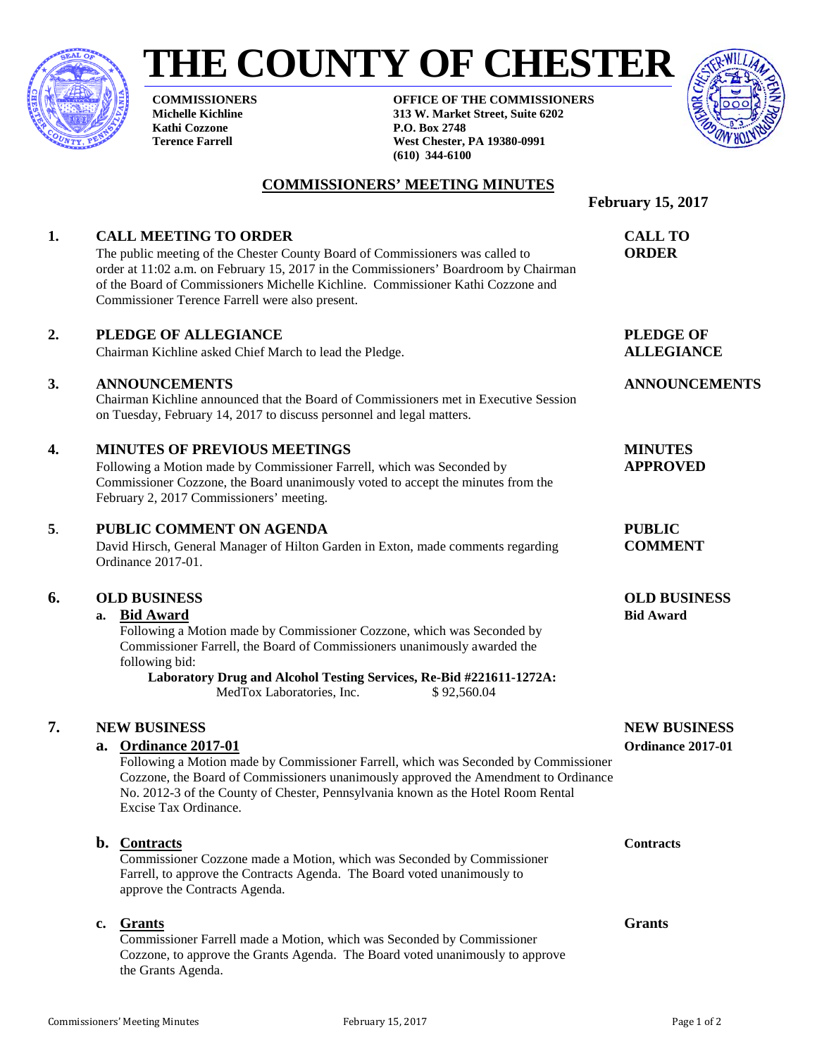

# **THE COUNTY OF CHESTER**

**COMMISSIONERS Michelle Kichline Kathi Cozzone Terence Farrell**

**OFFICE OF THE COMMISSIONERS 313 W. Market Street, Suite 6202 P.O. Box 2748 West Chester, PA 19380-0991 (610) 344-6100**



#### **COMMISSIONERS' MEETING MINUTES**

## **February 15, 2017 1. CALL MEETING TO ORDER CALL TO** The public meeting of the Chester County Board of Commissioners was called to **ORDER** order at 11:02 a.m. on February 15, 2017 in the Commissioners' Boardroom by Chairman of the Board of Commissioners Michelle Kichline. Commissioner Kathi Cozzone and Commissioner Terence Farrell were also present. **2. PLEDGE OF ALLEGIANCE PLEDGE OF** Chairman Kichline asked Chief March to lead the Pledge. **ALLEGIANCE 3. ANNOUNCEMENTS ANNOUNCEMENTS** Chairman Kichline announced that the Board of Commissioners met in Executive Session on Tuesday, February 14, 2017 to discuss personnel and legal matters. **4. MINUTES OF PREVIOUS MEETINGS MINUTES**  Following a Motion made by Commissioner Farrell, which was Seconded by **APPROVED** Commissioner Cozzone, the Board unanimously voted to accept the minutes from the February 2, 2017 Commissioners' meeting. **5**. **PUBLIC COMMENT ON AGENDA PUBLIC** David Hirsch, General Manager of Hilton Garden in Exton, made comments regarding **COMMENT** Ordinance 2017-01. **6. OLD BUSINESS OLD BUSINESS a. Bid Award Bid Award** Following a Motion made by Commissioner Cozzone, which was Seconded by Commissioner Farrell, the Board of Commissioners unanimously awarded the following bid: **Laboratory Drug and Alcohol Testing Services, Re-Bid #221611-1272A:**  MedTox Laboratories, Inc. \$92,560.04 **7. NEW BUSINESS NEW BUSINESS a. Ordinance 2017-01 Ordinance 2017-01** Following a Motion made by Commissioner Farrell, which was Seconded by Commissioner Cozzone, the Board of Commissioners unanimously approved the Amendment to Ordinance No. 2012-3 of the County of Chester, Pennsylvania known as the Hotel Room Rental Excise Tax Ordinance. **b. Contracts Contracts** Commissioner Cozzone made a Motion, which was Seconded by Commissioner Farrell, to approve the Contracts Agenda. The Board voted unanimously to approve the Contracts Agenda. **c. Grants Grants** Commissioner Farrell made a Motion, which was Seconded by Commissioner Cozzone, to approve the Grants Agenda. The Board voted unanimously to approve

the Grants Agenda.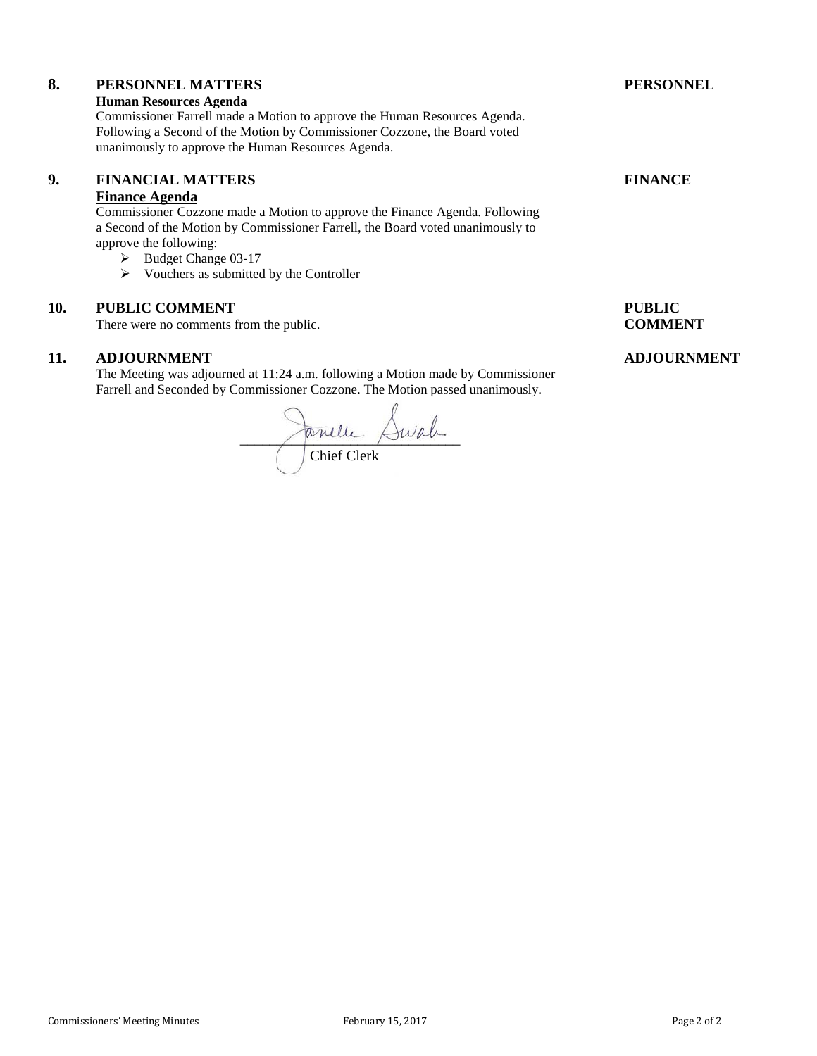# **8. PERSONNEL MATTERS PERSONNEL**

#### **Human Resources Agenda**

Commissioner Farrell made a Motion to approve the Human Resources Agenda. Following a Second of the Motion by Commissioner Cozzone, the Board voted unanimously to approve the Human Resources Agenda.

### **9. FINANCIAL MATTERS FINANCE**

## **Finance Agenda**

Commissioner Cozzone made a Motion to approve the Finance Agenda. Following a Second of the Motion by Commissioner Farrell, the Board voted unanimously to approve the following:

- Budget Change 03-17
- $\triangleright$  Vouchers as submitted by the Controller

#### **10. PUBLIC COMMENT PUBLIC**

There were no comments from the public. **COMMENT** 

#### **11. ADJOURNMENT ADJOURNMENT**

The Meeting was adjourned at 11:24 a.m. following a Motion made by Commissioner Farrell and Seconded by Commissioner Cozzone. The Motion passed unanimously.

 $\sim$   $\sim$   $\sim$ Chief Clerk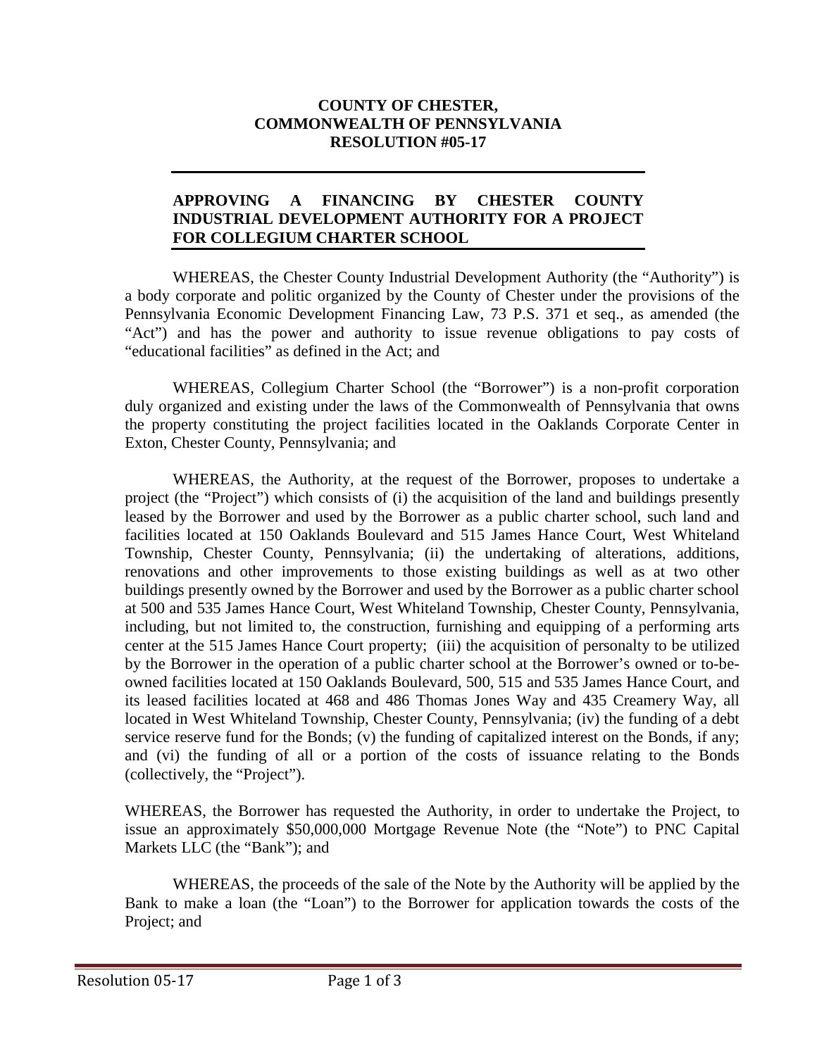## **COUNTY OF CHESTER, COMMONWEALTH OF PENNSYLVANIA RESOLUTION #05-17**

## **APPROVING A FINANCING BY CHESTER COUNTY INDUSTRIAL DEVELOPMENT AUTHORITY FOR A PROJECT FOR COLLEGIUM CHARTER SCHOOL**

WHEREAS, the Chester County Industrial Development Authority (the "Authority") is a body corporate and politic organized by the County of Chester under the provisions of the Pennsylvania Economic Development Financing Law, 73 P.S. 371 et seq., as amended (the "Act") and has the power and authority to issue revenue obligations to pay costs of "educational facilities" as defined in the Act; and

WHEREAS, Collegium Charter School (the "Borrower") is a non-profit corporation duly organized and existing under the laws of the Commonwealth of Pennsylvania that owns the property constituting the project facilities located in the Oaklands Corporate Center in Exton, Chester County, Pennsylvania; and

WHEREAS, the Authority, at the request of the Borrower, proposes to undertake a project (the "Project") which consists of (i) the acquisition of the land and buildings presently leased by the Borrower and used by the Borrower as a public charter school, such land and facilities located at 150 Oaklands Boulevard and 515 James Hance Court, West Whiteland Township, Chester County, Pennsylvania; (ii) the undertaking of alterations, additions, renovations and other improvements to those existing buildings as well as at two other buildings presently owned by the Borrower and used by the Borrower as a public charter school at 500 and 535 James Hance Court, West Whiteland Township, Chester County, Pennsylvania, including, but not limited to, the construction, furnishing and equipping of a performing arts center at the 515 James Hance Court property; (iii) the acquisition of personalty to be utilized by the Borrower in the operation of a public charter school at the Borrower's owned or to-beowned facilities located at 150 Oaklands Boulevard, 500, 515 and 535 James Hance Court, and its leased facilities located at 468 and 486 Thomas Jones Way and 435 Creamery Way, all located in West Whiteland Township, Chester County, Pennsylvania; (iv) the funding of a debt service reserve fund for the Bonds; (v) the funding of capitalized interest on the Bonds, if any; and (vi) the funding of all or a portion of the costs of issuance relating to the Bonds (collectively, the "Project").

WHEREAS, the Borrower has requested the Authority, in order to undertake the Project, to issue an approximately \$50,000,000 Mortgage Revenue Note (the "Note") to PNC Capital Markets LLC (the "Bank"); and

WHEREAS, the proceeds of the sale of the Note by the Authority will be applied by the Bank to make a loan (the "Loan") to the Borrower for application towards the costs of the Project; and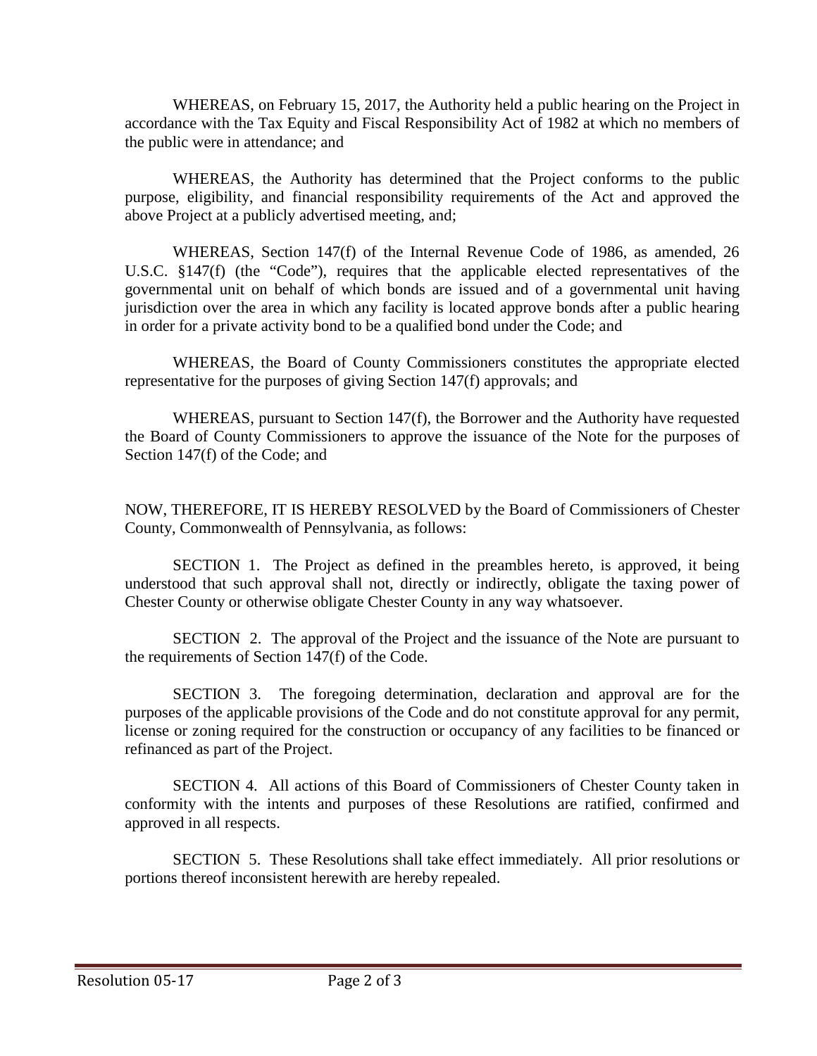WHEREAS, on February 15, 2017, the Authority held a public hearing on the Project in accordance with the Tax Equity and Fiscal Responsibility Act of 1982 at which no members of the public were in attendance; and

WHEREAS, the Authority has determined that the Project conforms to the public purpose, eligibility, and financial responsibility requirements of the Act and approved the above Project at a publicly advertised meeting, and;

WHEREAS, Section 147(f) of the Internal Revenue Code of 1986, as amended, 26 U.S.C. §147(f) (the "Code"), requires that the applicable elected representatives of the governmental unit on behalf of which bonds are issued and of a governmental unit having jurisdiction over the area in which any facility is located approve bonds after a public hearing in order for a private activity bond to be a qualified bond under the Code; and

WHEREAS, the Board of County Commissioners constitutes the appropriate elected representative for the purposes of giving Section 147(f) approvals; and

WHEREAS, pursuant to Section 147(f), the Borrower and the Authority have requested the Board of County Commissioners to approve the issuance of the Note for the purposes of Section 147(f) of the Code; and

NOW, THEREFORE, IT IS HEREBY RESOLVED by the Board of Commissioners of Chester County, Commonwealth of Pennsylvania, as follows:

SECTION 1. The Project as defined in the preambles hereto, is approved, it being understood that such approval shall not, directly or indirectly, obligate the taxing power of Chester County or otherwise obligate Chester County in any way whatsoever.

SECTION 2. The approval of the Project and the issuance of the Note are pursuant to the requirements of Section 147(f) of the Code.

SECTION 3. The foregoing determination, declaration and approval are for the purposes of the applicable provisions of the Code and do not constitute approval for any permit, license or zoning required for the construction or occupancy of any facilities to be financed or refinanced as part of the Project.

SECTION 4. All actions of this Board of Commissioners of Chester County taken in conformity with the intents and purposes of these Resolutions are ratified, confirmed and approved in all respects.

SECTION 5. These Resolutions shall take effect immediately. All prior resolutions or portions thereof inconsistent herewith are hereby repealed.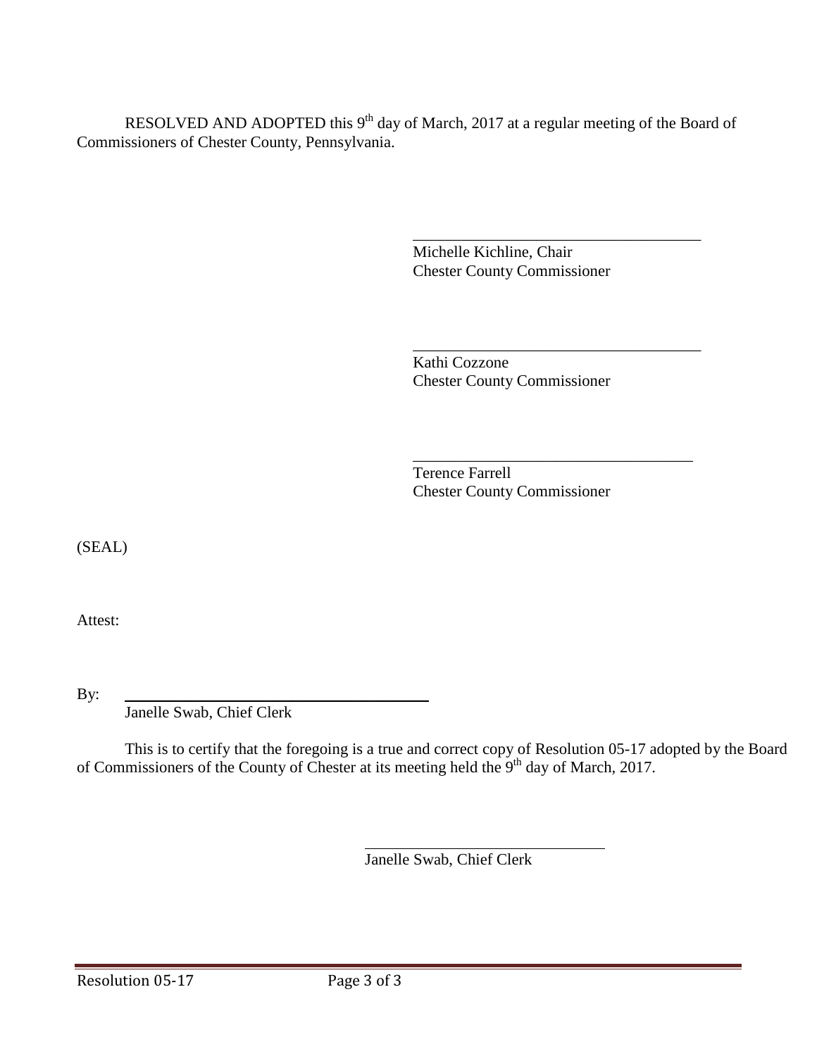RESOLVED AND ADOPTED this  $9<sup>th</sup>$  day of March, 2017 at a regular meeting of the Board of Commissioners of Chester County, Pennsylvania.

> \_\_\_\_\_\_\_\_\_\_\_\_\_\_\_\_\_\_\_\_\_\_\_\_\_\_\_\_\_\_\_\_\_\_\_\_ Michelle Kichline, Chair Chester County Commissioner

Kathi Cozzone Chester County Commissioner

\_\_\_\_\_\_\_\_\_\_\_\_\_\_\_\_\_\_\_\_\_\_\_\_\_\_\_\_\_\_\_\_\_\_\_\_

\_\_\_\_\_\_\_\_\_\_\_\_\_\_\_\_\_\_\_\_\_\_\_\_\_\_\_\_\_\_\_\_\_\_\_ Terence Farrell Chester County Commissioner

(SEAL)

Attest:

By: \_\_\_\_\_\_\_\_\_\_\_\_\_\_\_\_\_\_\_\_\_\_\_\_\_\_\_\_\_\_\_\_\_\_\_\_\_\_ Janelle Swab, Chief Clerk

This is to certify that the foregoing is a true and correct copy of Resolution 05-17 adopted by the Board of Commissioners of the County of Chester at its meeting held the 9<sup>th</sup> day of March, 2017.

Janelle Swab, Chief Clerk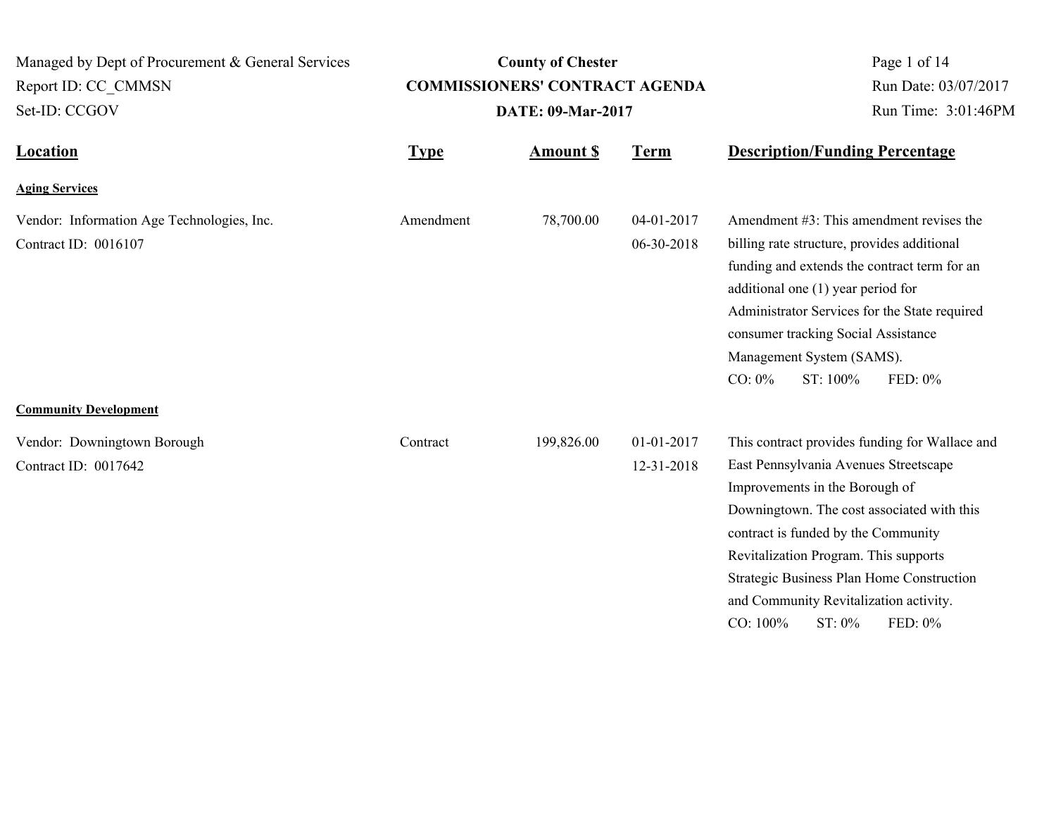| Managed by Dept of Procurement & General Services<br>Report ID: CC_CMMSN<br>Set-ID: CCGOV          |             | <b>County of Chester</b><br><b>COMMISSIONERS' CONTRACT AGENDA</b><br><b>DATE: 09-Mar-2017</b> | Page 1 of 14<br>Run Date: 03/07/2017<br>Run Time: 3:01:46PM |                                                                                                                                                                                                                                                                                                                                                                                    |
|----------------------------------------------------------------------------------------------------|-------------|-----------------------------------------------------------------------------------------------|-------------------------------------------------------------|------------------------------------------------------------------------------------------------------------------------------------------------------------------------------------------------------------------------------------------------------------------------------------------------------------------------------------------------------------------------------------|
| <b>Location</b>                                                                                    | <b>Type</b> | <b>Amount \$</b>                                                                              | <b>Term</b>                                                 | <b>Description/Funding Percentage</b>                                                                                                                                                                                                                                                                                                                                              |
| <b>Aging Services</b>                                                                              |             |                                                                                               |                                                             |                                                                                                                                                                                                                                                                                                                                                                                    |
| Vendor: Information Age Technologies, Inc.<br>Contract ID: 0016107<br><b>Community Development</b> | Amendment   | 78,700.00                                                                                     | 04-01-2017<br>06-30-2018                                    | Amendment #3: This amendment revises the<br>billing rate structure, provides additional<br>funding and extends the contract term for an<br>additional one $(1)$ year period for<br>Administrator Services for the State required<br>consumer tracking Social Assistance<br>Management System (SAMS).<br>ST: 100%<br>FED: 0%<br>$CO: 0\%$                                           |
| Vendor: Downingtown Borough<br>Contract ID: 0017642                                                | Contract    | 199,826.00                                                                                    | 01-01-2017<br>12-31-2018                                    | This contract provides funding for Wallace and<br>East Pennsylvania Avenues Streetscape<br>Improvements in the Borough of<br>Downingtown. The cost associated with this<br>contract is funded by the Community<br>Revitalization Program. This supports<br>Strategic Business Plan Home Construction<br>and Community Revitalization activity.<br>FED: 0%<br>CO: 100%<br>$ST: 0\%$ |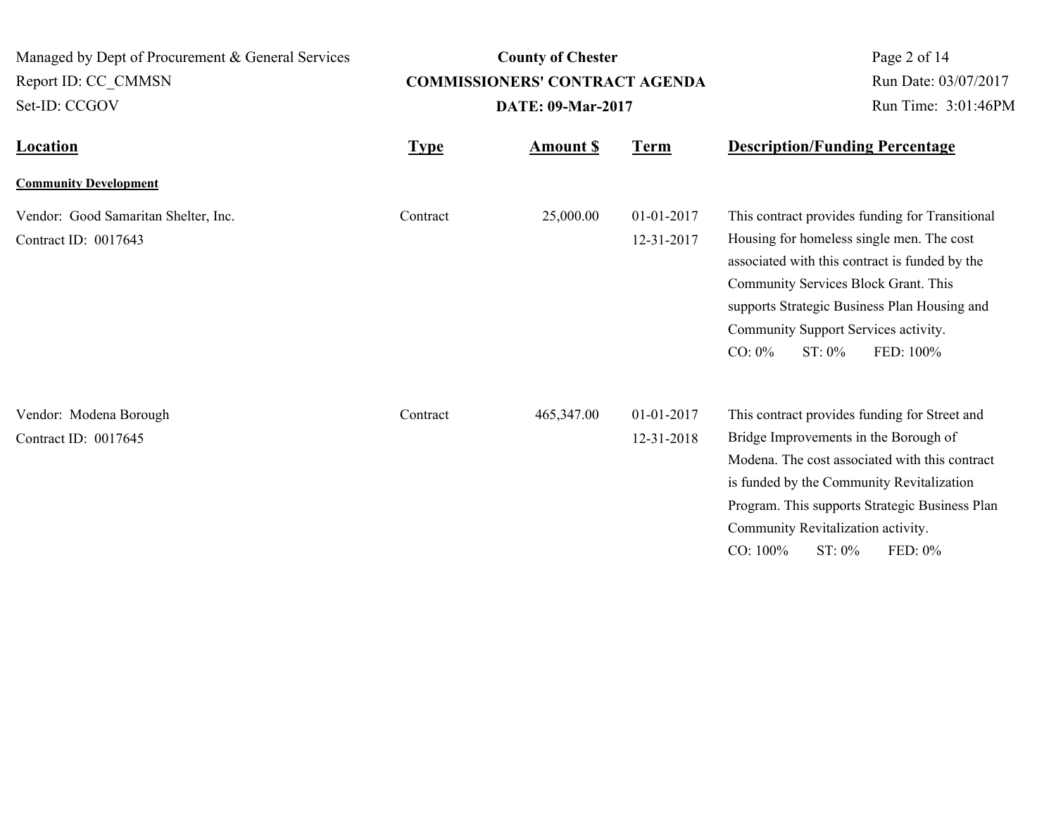| Managed by Dept of Procurement & General Services |             | <b>County of Chester</b>              | Page 2 of 14<br>Run Date: 03/07/2017 |                                                                             |
|---------------------------------------------------|-------------|---------------------------------------|--------------------------------------|-----------------------------------------------------------------------------|
| Report ID: CC CMMSN                               |             | <b>COMMISSIONERS' CONTRACT AGENDA</b> |                                      |                                                                             |
| Set-ID: CCGOV                                     |             | <b>DATE: 09-Mar-2017</b>              |                                      | Run Time: 3:01:46PM                                                         |
| <b>Location</b>                                   | <b>Type</b> | <b>Amount \$</b>                      | <u>Term</u>                          | <b>Description/Funding Percentage</b>                                       |
| <b>Community Development</b>                      |             |                                       |                                      |                                                                             |
| Vendor: Good Samaritan Shelter, Inc.              | Contract    | 25,000.00                             | 01-01-2017                           | This contract provides funding for Transitional                             |
| Contract ID: 0017643                              |             |                                       | 12-31-2017                           | Housing for homeless single men. The cost                                   |
|                                                   |             |                                       |                                      | associated with this contract is funded by the                              |
|                                                   |             |                                       |                                      | Community Services Block Grant. This                                        |
|                                                   |             |                                       |                                      | supports Strategic Business Plan Housing and                                |
|                                                   |             |                                       |                                      | Community Support Services activity.<br>$CO: 0\%$<br>$ST: 0\%$<br>FED: 100% |
|                                                   |             |                                       |                                      |                                                                             |
| Vendor: Modena Borough                            | Contract    | 465,347.00                            | 01-01-2017                           | This contract provides funding for Street and                               |
| Contract ID: 0017645                              |             |                                       | 12-31-2018                           | Bridge Improvements in the Borough of                                       |
|                                                   |             |                                       |                                      | Modena. The cost associated with this contract                              |
|                                                   |             |                                       |                                      | is funded by the Community Revitalization                                   |
|                                                   |             |                                       |                                      | Program. This supports Strategic Business Plan                              |
|                                                   |             |                                       |                                      | Community Revitalization activity.                                          |
|                                                   |             |                                       |                                      | CO: 100%<br>ST: 0%<br>FED: $0\%$                                            |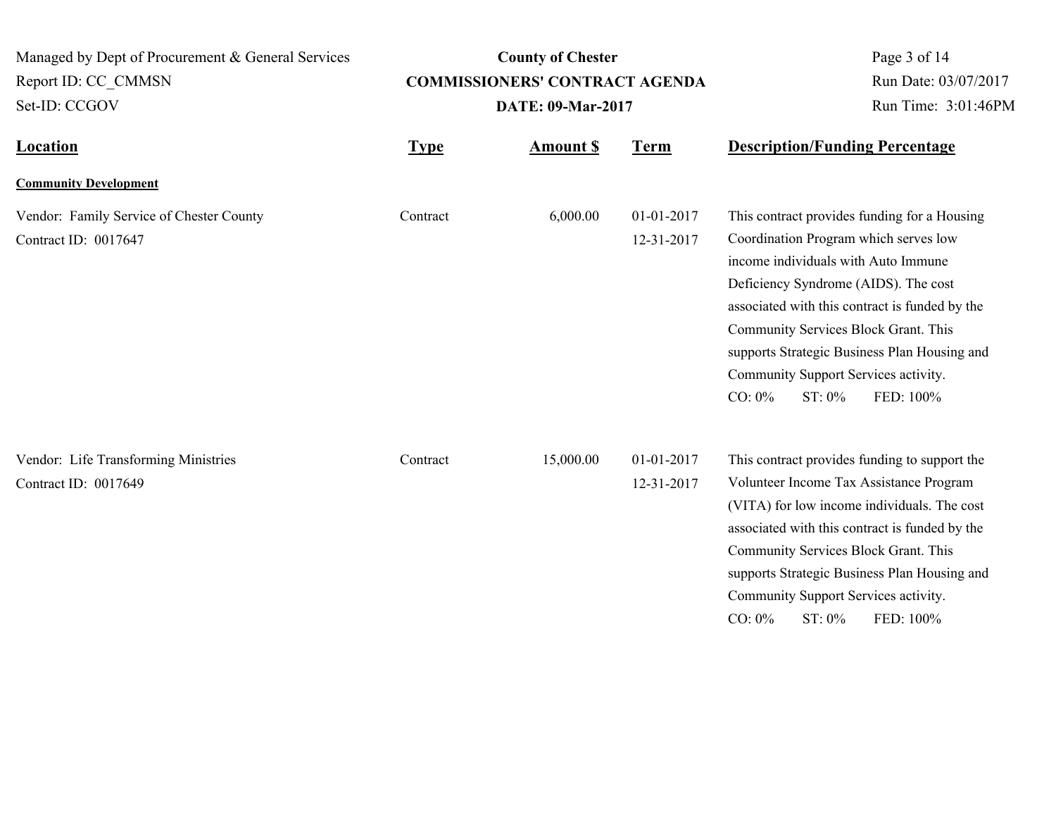| Managed by Dept of Procurement & General Services            |                          | <b>County of Chester</b>              | Page 3 of 14                   |                                                                                                                                                                                                                                                                                                                                         |
|--------------------------------------------------------------|--------------------------|---------------------------------------|--------------------------------|-----------------------------------------------------------------------------------------------------------------------------------------------------------------------------------------------------------------------------------------------------------------------------------------------------------------------------------------|
| Report ID: CC CMMSN                                          |                          | <b>COMMISSIONERS' CONTRACT AGENDA</b> | Run Date: 03/07/2017           |                                                                                                                                                                                                                                                                                                                                         |
| Set-ID: CCGOV<br><b>Location</b>                             | <b>DATE: 09-Mar-2017</b> |                                       |                                | Run Time: 3:01:46PM                                                                                                                                                                                                                                                                                                                     |
|                                                              | <b>Type</b>              | <b>Amount S</b>                       | <b>Term</b>                    | <b>Description/Funding Percentage</b>                                                                                                                                                                                                                                                                                                   |
| <b>Community Development</b>                                 |                          |                                       |                                |                                                                                                                                                                                                                                                                                                                                         |
| Vendor: Family Service of Chester County                     | Contract                 | 6,000.00                              | 01-01-2017                     | This contract provides funding for a Housing                                                                                                                                                                                                                                                                                            |
| Contract ID: 0017647                                         |                          |                                       | 12-31-2017                     | Coordination Program which serves low<br>income individuals with Auto Immune<br>Deficiency Syndrome (AIDS). The cost<br>associated with this contract is funded by the<br>Community Services Block Grant. This<br>supports Strategic Business Plan Housing and<br>Community Support Services activity.<br>CO: 0%<br>ST: 0%<br>FED: 100% |
| Vendor: Life Transforming Ministries<br>Contract ID: 0017649 | Contract                 | 15,000.00                             | $01 - 01 - 2017$<br>12-31-2017 | This contract provides funding to support the<br>Volunteer Income Tax Assistance Program<br>(VITA) for low income individuals. The cost<br>associated with this contract is funded by the<br>Community Services Block Grant. This<br>supports Strategic Business Plan Housing and<br>Community Support Services activity.               |
|                                                              |                          |                                       |                                | CO: 0%<br>ST: 0%<br>FED: 100%                                                                                                                                                                                                                                                                                                           |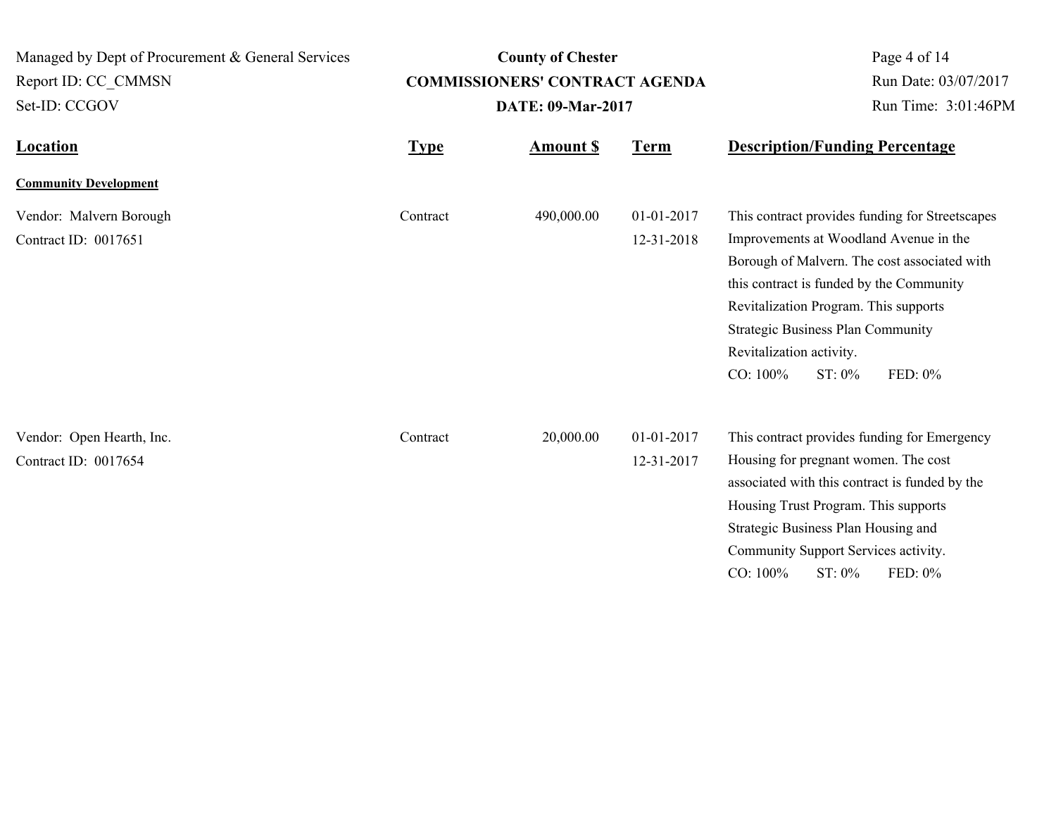| Managed by Dept of Procurement & General Services<br>Report ID: CC CMMSN<br>Set-ID: CCGOV | <b>County of Chester</b><br><b>COMMISSIONERS' CONTRACT AGENDA</b><br><b>DATE: 09-Mar-2017</b> |                 |                          | Page 4 of 14<br>Run Date: 03/07/2017<br>Run Time: 3:01:46PM                                                                                                                                                                                                                                                                             |
|-------------------------------------------------------------------------------------------|-----------------------------------------------------------------------------------------------|-----------------|--------------------------|-----------------------------------------------------------------------------------------------------------------------------------------------------------------------------------------------------------------------------------------------------------------------------------------------------------------------------------------|
| <b>Location</b>                                                                           | <b>Type</b>                                                                                   | <b>Amount S</b> | <b>Term</b>              | <b>Description/Funding Percentage</b>                                                                                                                                                                                                                                                                                                   |
| <b>Community Development</b>                                                              |                                                                                               |                 |                          |                                                                                                                                                                                                                                                                                                                                         |
| Vendor: Malvern Borough<br>Contract ID: 0017651                                           | Contract                                                                                      | 490,000.00      | 01-01-2017<br>12-31-2018 | This contract provides funding for Streetscapes<br>Improvements at Woodland Avenue in the<br>Borough of Malvern. The cost associated with<br>this contract is funded by the Community<br>Revitalization Program. This supports<br><b>Strategic Business Plan Community</b><br>Revitalization activity.<br>CO: 100%<br>ST: 0%<br>FED: 0% |
| Vendor: Open Hearth, Inc.<br>Contract ID: 0017654                                         | Contract                                                                                      | 20,000.00       | 01-01-2017<br>12-31-2017 | This contract provides funding for Emergency<br>Housing for pregnant women. The cost<br>associated with this contract is funded by the<br>Housing Trust Program. This supports<br>Strategic Business Plan Housing and<br>Community Support Services activity.<br>CO: 100%<br>ST: 0%<br>FED: 0%                                          |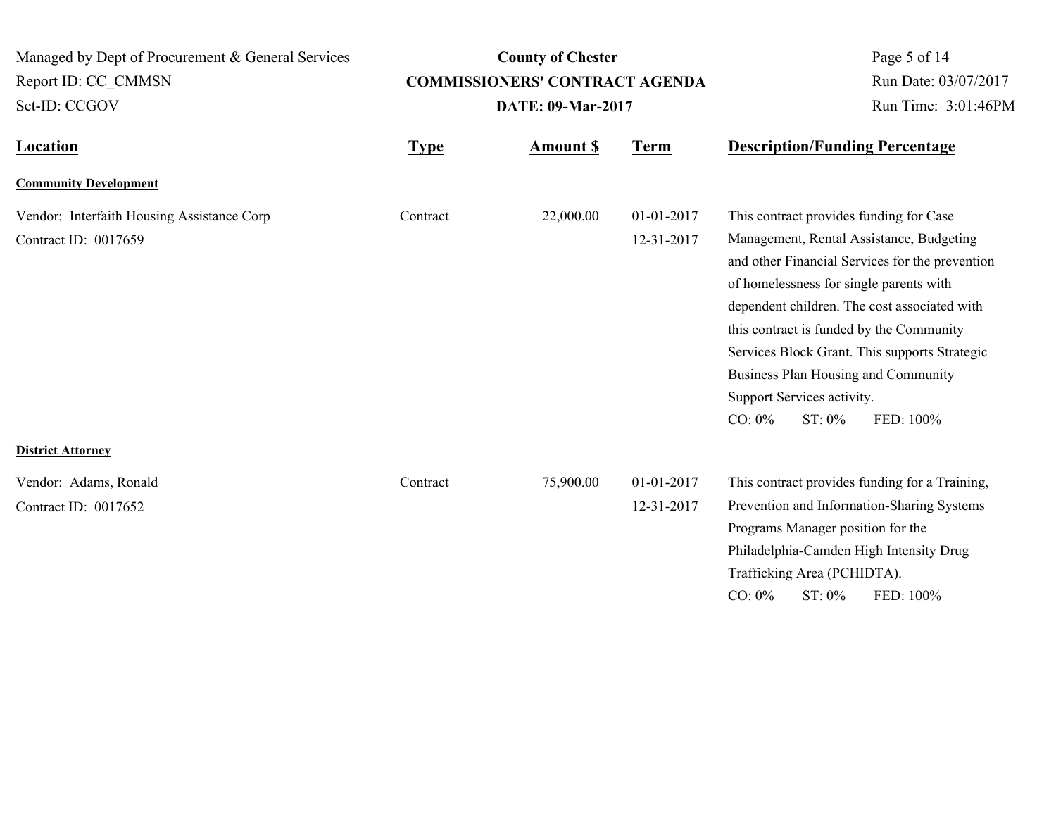| Managed by Dept of Procurement & General Services |             | <b>County of Chester</b>              | Page 5 of 14         |                                                                                                                                                                                                                                                                                                                                                                                              |
|---------------------------------------------------|-------------|---------------------------------------|----------------------|----------------------------------------------------------------------------------------------------------------------------------------------------------------------------------------------------------------------------------------------------------------------------------------------------------------------------------------------------------------------------------------------|
| Report ID: CC CMMSN                               |             | <b>COMMISSIONERS' CONTRACT AGENDA</b> | Run Date: 03/07/2017 |                                                                                                                                                                                                                                                                                                                                                                                              |
| Set-ID: CCGOV<br>Location                         |             | DATE: 09-Mar-2017                     |                      | Run Time: 3:01:46PM                                                                                                                                                                                                                                                                                                                                                                          |
|                                                   | <b>Type</b> | <b>Amount \$</b>                      | <b>Term</b>          | <b>Description/Funding Percentage</b>                                                                                                                                                                                                                                                                                                                                                        |
| <b>Community Development</b>                      |             |                                       |                      |                                                                                                                                                                                                                                                                                                                                                                                              |
| Vendor: Interfaith Housing Assistance Corp        | Contract    | 22,000.00                             | 01-01-2017           | This contract provides funding for Case                                                                                                                                                                                                                                                                                                                                                      |
| Contract ID: 0017659                              |             |                                       | 12-31-2017           | Management, Rental Assistance, Budgeting<br>and other Financial Services for the prevention<br>of homelessness for single parents with<br>dependent children. The cost associated with<br>this contract is funded by the Community<br>Services Block Grant. This supports Strategic<br>Business Plan Housing and Community<br>Support Services activity.<br>ST: 0%<br>$CO: 0\%$<br>FED: 100% |
| <b>District Attorney</b>                          |             |                                       |                      |                                                                                                                                                                                                                                                                                                                                                                                              |
| Vendor: Adams, Ronald                             | Contract    | 75,900.00                             | 01-01-2017           | This contract provides funding for a Training,                                                                                                                                                                                                                                                                                                                                               |
| Contract ID: 0017652                              |             |                                       | 12-31-2017           | Prevention and Information-Sharing Systems<br>Programs Manager position for the<br>Philadelphia-Camden High Intensity Drug<br>Trafficking Area (PCHIDTA).<br>$CO: 0\%$<br>ST: 0%<br>FED: 100%                                                                                                                                                                                                |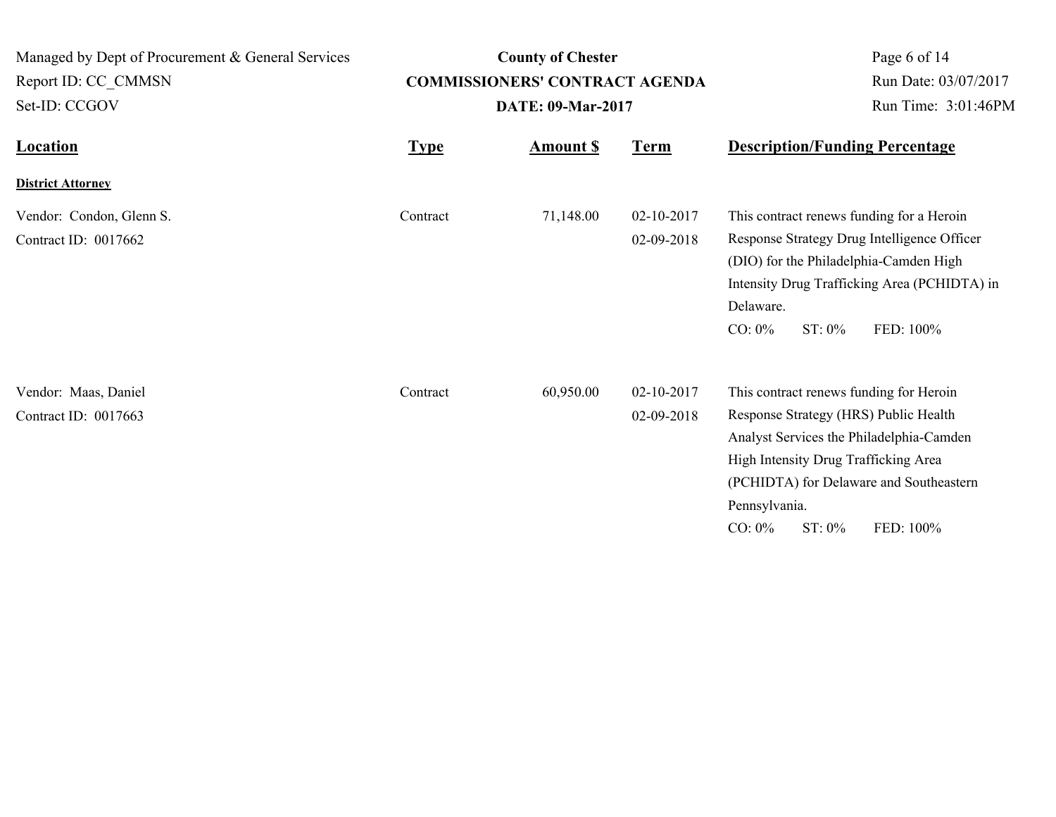| Managed by Dept of Procurement & General Services |             | <b>County of Chester</b>              |                          | Page 6 of 14                                                                                                                                                                                                                                                         |
|---------------------------------------------------|-------------|---------------------------------------|--------------------------|----------------------------------------------------------------------------------------------------------------------------------------------------------------------------------------------------------------------------------------------------------------------|
| Report ID: CC CMMSN                               |             | <b>COMMISSIONERS' CONTRACT AGENDA</b> |                          | Run Date: 03/07/2017                                                                                                                                                                                                                                                 |
| Set-ID: CCGOV                                     |             | DATE: 09-Mar-2017                     |                          | Run Time: 3:01:46PM                                                                                                                                                                                                                                                  |
| <b>Location</b>                                   | <b>Type</b> | <b>Amount S</b>                       | <b>Term</b>              | <b>Description/Funding Percentage</b>                                                                                                                                                                                                                                |
| <b>District Attorney</b>                          |             |                                       |                          |                                                                                                                                                                                                                                                                      |
| Vendor: Condon, Glenn S.<br>Contract ID: 0017662  | Contract    | 71,148.00                             | 02-10-2017<br>02-09-2018 | This contract renews funding for a Heroin<br>Response Strategy Drug Intelligence Officer<br>(DIO) for the Philadelphia-Camden High<br>Intensity Drug Trafficking Area (PCHIDTA) in<br>Delaware.<br>$CO: 0\%$<br>ST: 0%<br>FED: 100%                                  |
| Vendor: Maas, Daniel<br>Contract ID: 0017663      | Contract    | 60,950.00                             | 02-10-2017<br>02-09-2018 | This contract renews funding for Heroin<br>Response Strategy (HRS) Public Health<br>Analyst Services the Philadelphia-Camden<br>High Intensity Drug Trafficking Area<br>(PCHIDTA) for Delaware and Southeastern<br>Pennsylvania.<br>ST: 0%<br>$CO: 0\%$<br>FED: 100% |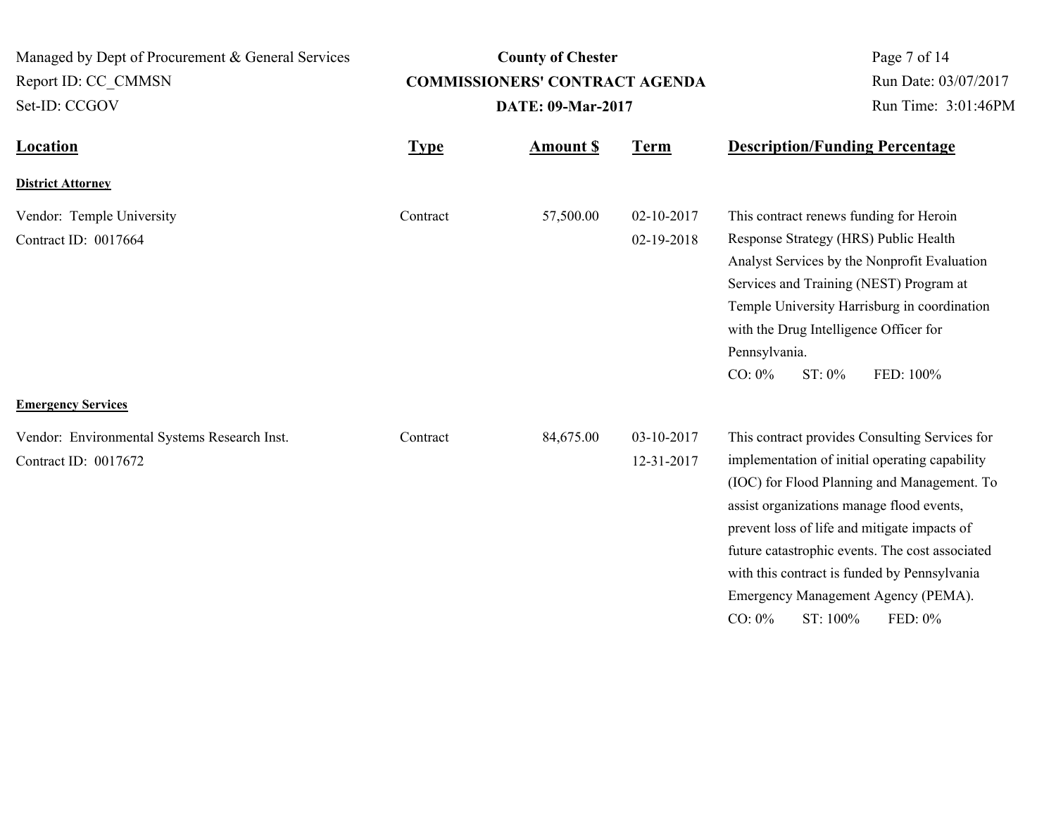| Managed by Dept of Procurement & General Services<br>Report ID: CC_CMMSN<br>Set-ID: CCGOV         |             | <b>County of Chester</b><br><b>COMMISSIONERS' CONTRACT AGENDA</b><br><b>DATE: 09-Mar-2017</b> | Page 7 of 14<br>Run Date: 03/07/2017<br>Run Time: 3:01:46PM |                                                                                                                                                                                                                                                                                                                                                                                                                            |
|---------------------------------------------------------------------------------------------------|-------------|-----------------------------------------------------------------------------------------------|-------------------------------------------------------------|----------------------------------------------------------------------------------------------------------------------------------------------------------------------------------------------------------------------------------------------------------------------------------------------------------------------------------------------------------------------------------------------------------------------------|
| <b>Location</b>                                                                                   | <b>Type</b> | <b>Amount S</b>                                                                               | <b>Term</b>                                                 | <b>Description/Funding Percentage</b>                                                                                                                                                                                                                                                                                                                                                                                      |
| <b>District Attorney</b>                                                                          |             |                                                                                               |                                                             |                                                                                                                                                                                                                                                                                                                                                                                                                            |
| Vendor: Temple University<br>Contract ID: 0017664                                                 | Contract    | 57,500.00                                                                                     | 02-10-2017<br>02-19-2018                                    | This contract renews funding for Heroin<br>Response Strategy (HRS) Public Health<br>Analyst Services by the Nonprofit Evaluation<br>Services and Training (NEST) Program at<br>Temple University Harrisburg in coordination<br>with the Drug Intelligence Officer for<br>Pennsylvania.<br>$CO: 0\%$<br>ST: 0%<br>FED: 100%                                                                                                 |
| <b>Emergency Services</b><br>Vendor: Environmental Systems Research Inst.<br>Contract ID: 0017672 | Contract    | 84,675.00                                                                                     | 03-10-2017<br>12-31-2017                                    | This contract provides Consulting Services for<br>implementation of initial operating capability<br>(IOC) for Flood Planning and Management. To<br>assist organizations manage flood events,<br>prevent loss of life and mitigate impacts of<br>future catastrophic events. The cost associated<br>with this contract is funded by Pennsylvania<br>Emergency Management Agency (PEMA).<br>$CO: 0\%$<br>ST: 100%<br>FED: 0% |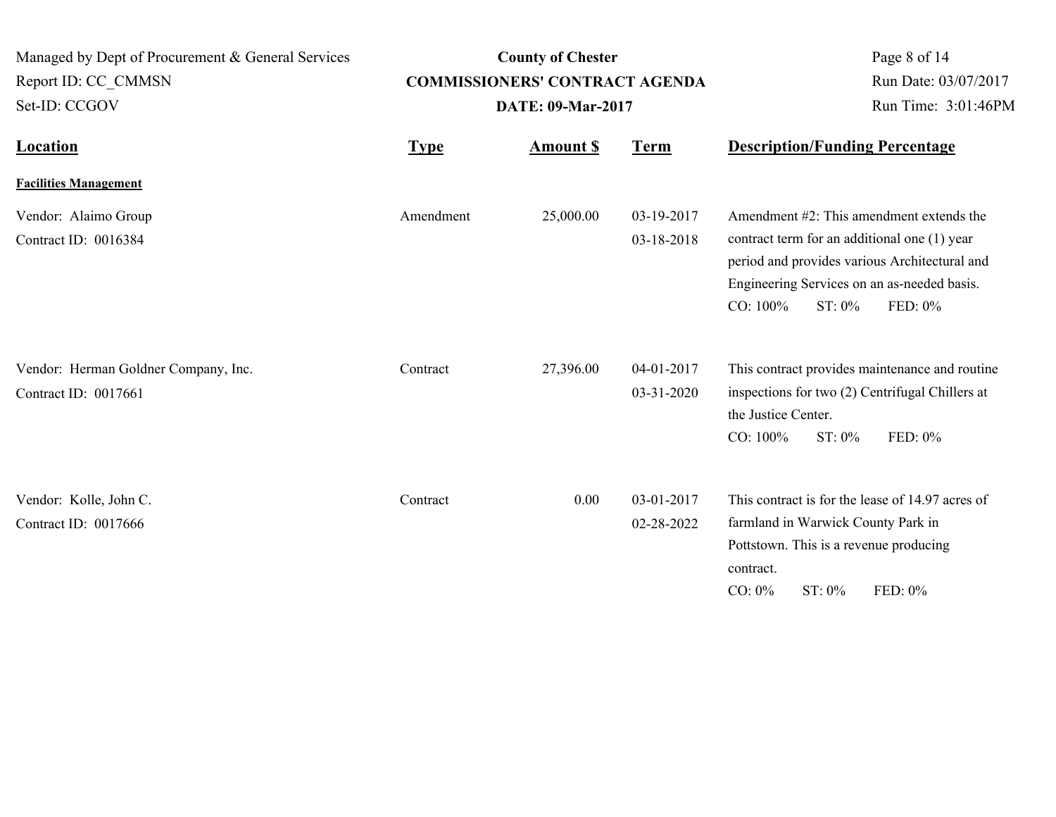| Managed by Dept of Procurement & General Services<br>Report ID: CC CMMSN<br>Set-ID: CCGOV | <b>County of Chester</b><br><b>COMMISSIONERS' CONTRACT AGENDA</b><br><b>DATE: 09-Mar-2017</b> |                  |                          | Page 8 of 14<br>Run Date: 03/07/2017<br>Run Time: 3:01:46PM                                                                                                                                                                     |
|-------------------------------------------------------------------------------------------|-----------------------------------------------------------------------------------------------|------------------|--------------------------|---------------------------------------------------------------------------------------------------------------------------------------------------------------------------------------------------------------------------------|
| <b>Location</b>                                                                           | <b>Type</b>                                                                                   | <b>Amount \$</b> | <b>Term</b>              | <b>Description/Funding Percentage</b>                                                                                                                                                                                           |
| <b>Facilities Management</b>                                                              |                                                                                               |                  |                          |                                                                                                                                                                                                                                 |
| Vendor: Alaimo Group<br>Contract ID: 0016384                                              | Amendment                                                                                     | 25,000.00        | 03-19-2017<br>03-18-2018 | Amendment $#2$ : This amendment extends the<br>contract term for an additional one (1) year<br>period and provides various Architectural and<br>Engineering Services on an as-needed basis.<br>CO: 100%<br>FED: 0%<br>$ST: 0\%$ |
| Vendor: Herman Goldner Company, Inc.<br>Contract ID: 0017661                              | Contract                                                                                      | 27,396.00        | 04-01-2017<br>03-31-2020 | This contract provides maintenance and routine<br>inspections for two (2) Centrifugal Chillers at<br>the Justice Center.<br>CO: 100%<br>ST: 0%<br>FED: 0%                                                                       |
| Vendor: Kolle, John C.<br>Contract ID: 0017666                                            | Contract                                                                                      | 0.00             | 03-01-2017<br>02-28-2022 | This contract is for the lease of 14.97 acres of<br>farmland in Warwick County Park in<br>Pottstown. This is a revenue producing<br>contract.<br>FED: 0%<br>$CO: 0\%$<br>$ST: 0\%$                                              |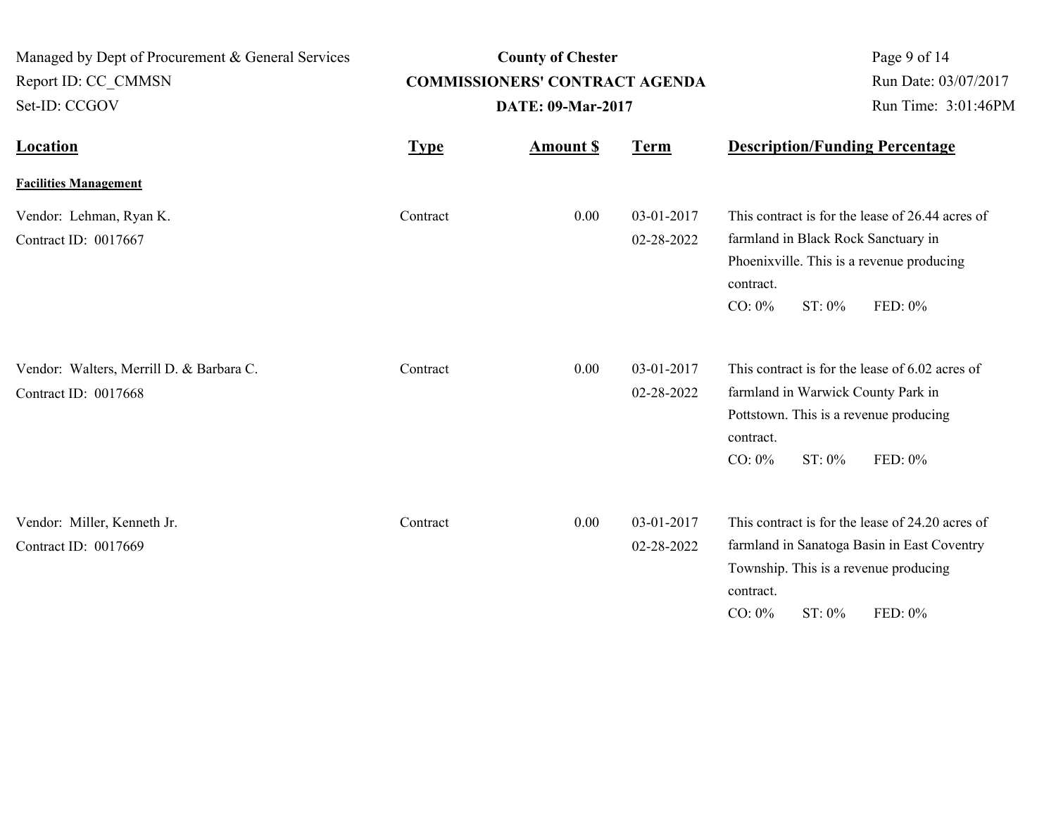| Managed by Dept of Procurement & General Services<br>Report ID: CC_CMMSN<br>Set-ID: CCGOV |             | <b>County of Chester</b><br><b>COMMISSIONERS' CONTRACT AGENDA</b><br><b>DATE: 09-Mar-2017</b> | Page 9 of 14<br>Run Date: 03/07/2017<br>Run Time: 3:01:46PM |                                                                                                                                                                                            |
|-------------------------------------------------------------------------------------------|-------------|-----------------------------------------------------------------------------------------------|-------------------------------------------------------------|--------------------------------------------------------------------------------------------------------------------------------------------------------------------------------------------|
| Location                                                                                  | <b>Type</b> | <b>Amount S</b>                                                                               | <b>Term</b>                                                 | <b>Description/Funding Percentage</b>                                                                                                                                                      |
| <b>Facilities Management</b>                                                              |             |                                                                                               |                                                             |                                                                                                                                                                                            |
| Vendor: Lehman, Ryan K.<br>Contract ID: 0017667                                           | Contract    | 0.00                                                                                          | 03-01-2017<br>02-28-2022                                    | This contract is for the lease of 26.44 acres of<br>farmland in Black Rock Sanctuary in<br>Phoenixville. This is a revenue producing<br>contract.<br>FED: 0%<br>$CO: 0\%$<br>ST: 0%        |
| Vendor: Walters, Merrill D. & Barbara C.<br>Contract ID: 0017668                          | Contract    | 0.00                                                                                          | 03-01-2017<br>02-28-2022                                    | This contract is for the lease of 6.02 acres of<br>farmland in Warwick County Park in<br>Pottstown. This is a revenue producing<br>contract.<br>$CO: 0\%$<br>FED: 0%<br>$ST: 0\%$          |
| Vendor: Miller, Kenneth Jr.<br>Contract ID: 0017669                                       | Contract    | 0.00                                                                                          | 03-01-2017<br>02-28-2022                                    | This contract is for the lease of 24.20 acres of<br>farmland in Sanatoga Basin in East Coventry<br>Township. This is a revenue producing<br>contract.<br>FED: 0%<br>$CO: 0\%$<br>$ST: 0\%$ |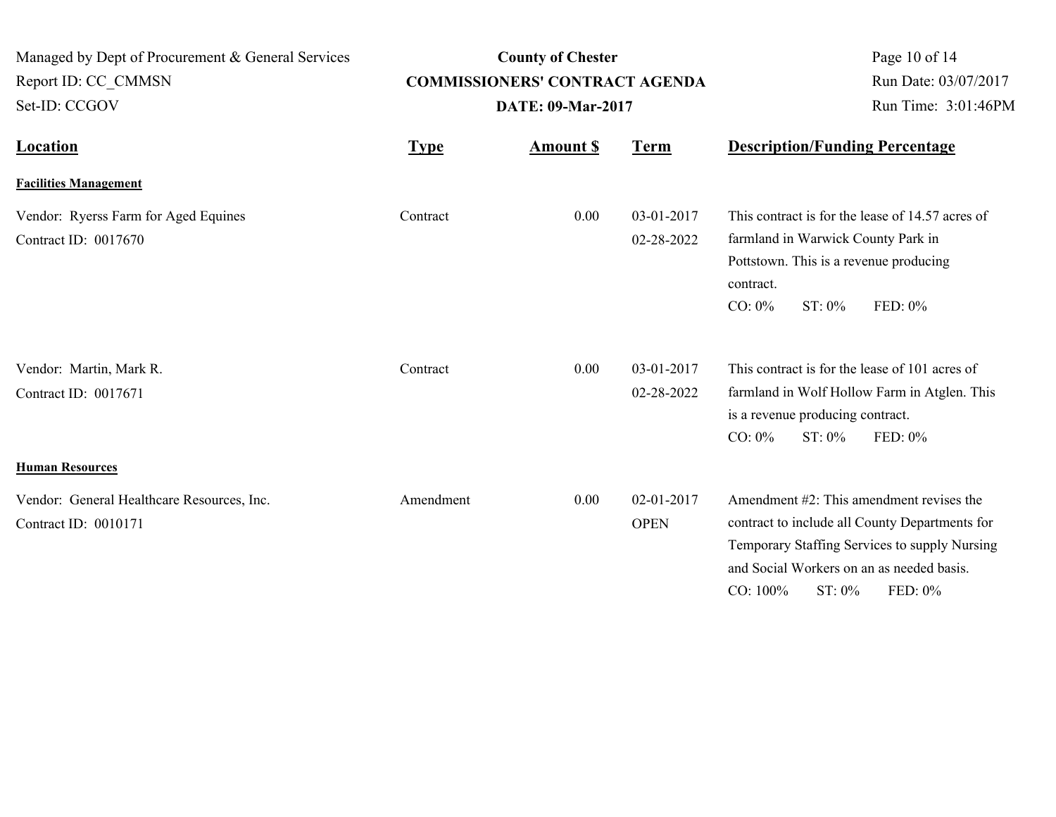| Managed by Dept of Procurement & General Services<br>Report ID: CC CMMSN<br>Set-ID: CCGOV |             | <b>County of Chester</b><br><b>COMMISSIONERS' CONTRACT AGENDA</b><br><b>DATE: 09-Mar-2017</b> | Page 10 of 14<br>Run Date: 03/07/2017<br>Run Time: 3:01:46PM |                                                                                                                                                                                 |
|-------------------------------------------------------------------------------------------|-------------|-----------------------------------------------------------------------------------------------|--------------------------------------------------------------|---------------------------------------------------------------------------------------------------------------------------------------------------------------------------------|
| <b>Location</b>                                                                           | <b>Type</b> | <b>Amount \$</b>                                                                              | <b>Term</b>                                                  | <b>Description/Funding Percentage</b>                                                                                                                                           |
| <b>Facilities Management</b>                                                              |             |                                                                                               |                                                              |                                                                                                                                                                                 |
| Vendor: Ryerss Farm for Aged Equines<br>Contract ID: 0017670                              | Contract    | 0.00                                                                                          | 03-01-2017<br>02-28-2022                                     | This contract is for the lease of 14.57 acres of<br>farmland in Warwick County Park in<br>Pottstown. This is a revenue producing<br>contract.<br>$CO: 0\%$<br>ST: 0%<br>FED: 0% |
| Vendor: Martin, Mark R.<br>Contract ID: 0017671                                           | Contract    | 0.00                                                                                          | 03-01-2017<br>02-28-2022                                     | This contract is for the lease of 101 acres of<br>farmland in Wolf Hollow Farm in Atglen. This<br>is a revenue producing contract.<br>$CO: 0\%$<br>$ST: 0\%$<br>FED: 0%         |
| <b>Human Resources</b><br>Vendor: General Healthcare Resources, Inc.                      | Amendment   | 0.00                                                                                          | 02-01-2017                                                   | Amendment #2: This amendment revises the                                                                                                                                        |
| Contract ID: 0010171                                                                      |             |                                                                                               | <b>OPEN</b>                                                  | contract to include all County Departments for<br>Temporary Staffing Services to supply Nursing<br>and Social Workers on an as needed basis.<br>CO: 100%<br>ST: 0%<br>FED: 0%   |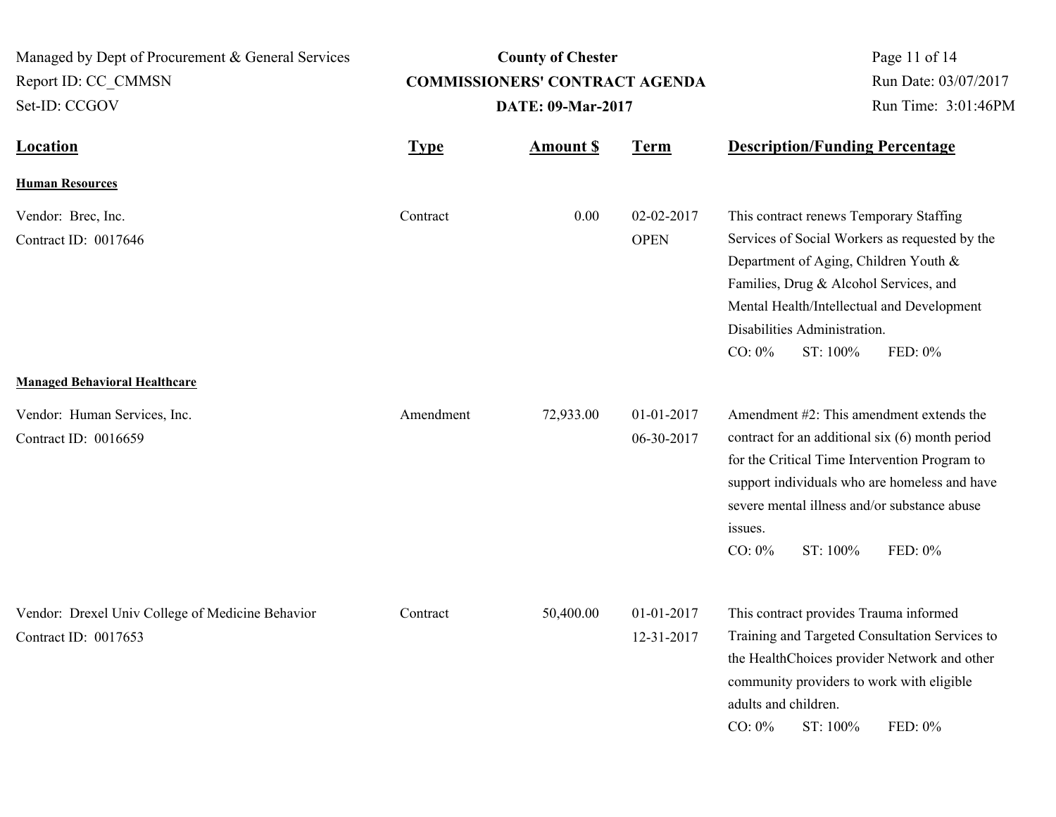| Managed by Dept of Procurement & General Services<br>Report ID: CC CMMSN<br>Set-ID: CCGOV | <b>County of Chester</b><br><b>COMMISSIONERS' CONTRACT AGENDA</b><br>DATE: 09-Mar-2017 |                  |                           | Page 11 of 14<br>Run Date: 03/07/2017<br>Run Time: 3:01:46PM                                                                                                                                                                                                                                   |  |
|-------------------------------------------------------------------------------------------|----------------------------------------------------------------------------------------|------------------|---------------------------|------------------------------------------------------------------------------------------------------------------------------------------------------------------------------------------------------------------------------------------------------------------------------------------------|--|
| <b>Location</b>                                                                           | <b>Type</b>                                                                            | <b>Amount \$</b> | <b>Term</b>               | <b>Description/Funding Percentage</b>                                                                                                                                                                                                                                                          |  |
| <b>Human Resources</b>                                                                    |                                                                                        |                  |                           |                                                                                                                                                                                                                                                                                                |  |
| Vendor: Brec, Inc.<br>Contract ID: 0017646                                                | Contract                                                                               | 0.00             | 02-02-2017<br><b>OPEN</b> | This contract renews Temporary Staffing<br>Services of Social Workers as requested by the<br>Department of Aging, Children Youth &<br>Families, Drug & Alcohol Services, and<br>Mental Health/Intellectual and Development<br>Disabilities Administration.<br>$CO: 0\%$<br>ST: 100%<br>FED: 0% |  |
| <b>Managed Behavioral Healthcare</b>                                                      |                                                                                        |                  |                           |                                                                                                                                                                                                                                                                                                |  |
| Vendor: Human Services, Inc.<br>Contract ID: 0016659                                      | Amendment                                                                              | 72,933.00        | 01-01-2017<br>06-30-2017  | Amendment #2: This amendment extends the<br>contract for an additional six (6) month period<br>for the Critical Time Intervention Program to<br>support individuals who are homeless and have<br>severe mental illness and/or substance abuse<br>issues.<br>$CO: 0\%$<br>ST: 100%<br>FED: 0%   |  |
| Vendor: Drexel Univ College of Medicine Behavior<br>Contract ID: 0017653                  | Contract                                                                               | 50,400.00        | 01-01-2017<br>12-31-2017  | This contract provides Trauma informed<br>Training and Targeted Consultation Services to<br>the HealthChoices provider Network and other<br>community providers to work with eligible<br>adults and children.<br>$CO: 0\%$<br>ST: 100%<br>FED: 0%                                              |  |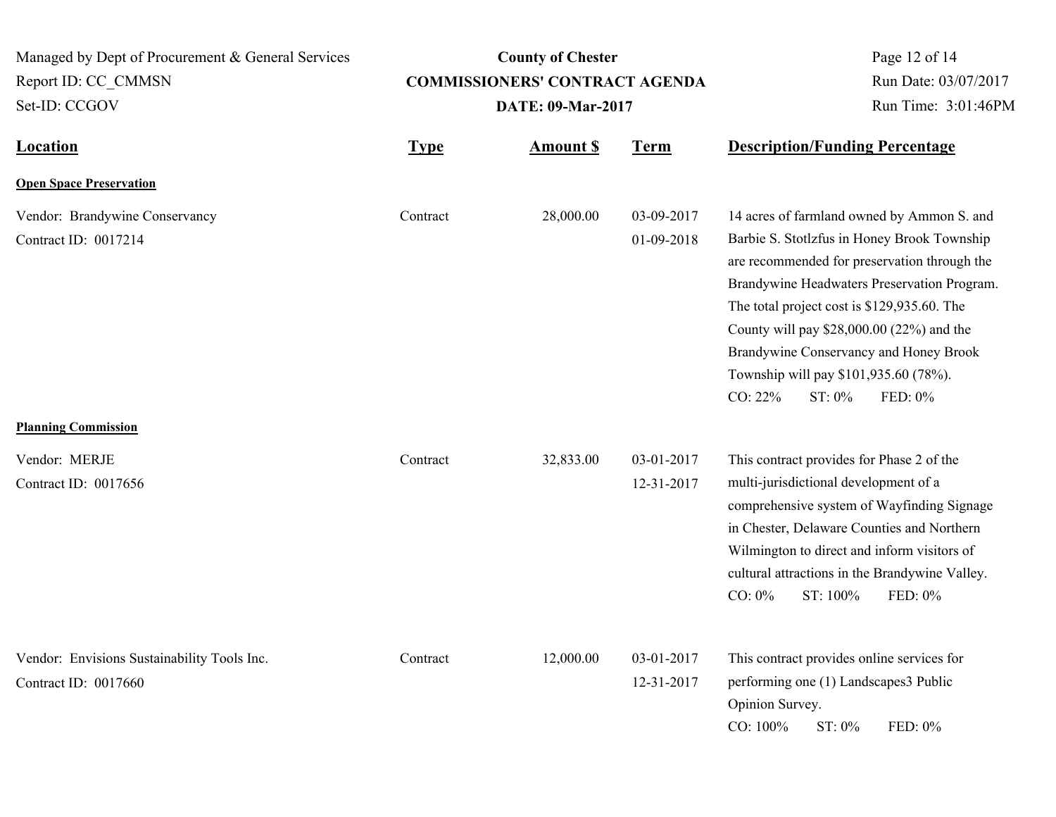**Location Type Type** *Amount \$* **Term Description/Funding Percentage County of Chester COMMISSIONERS' CONTRACT AGENDA** Managed by Dept of Procurement & General Services Set-ID: CCGOV Report ID: CC\_CMMSN Page 12 of 14 **Amount \$ DATE: 09-Mar-2017** Run Date: 03/07/2017 Run Time: 3:01:46PM **Open Space Preservation** Vendor: Brandywine Conservancy Contract 28,000.00 03-09-2017 Contract ID: 0017214 01-09-2018 14 acres of farmland owned by Ammon S. and Barbie S. Stotlzfus in Honey Brook Township are recommended for preservation through the Brandywine Headwaters Preservation Program. The total project cost is \$129,935.60. The County will pay \$28,000.00 (22%) and the Brandywine Conservancy and Honey Brook Township will pay \$101,935.60 (78%). CO: 22% ST: 0% FED: 0% **Contract Planning Commission**

Vendor: MERJE 32,833.00 03-01-2017 Contract ID: 0017656 12-31-2017 This contract provides for Phase 2 of the multi-jurisdictional development of a comprehensive system of Wayfinding Signage in Chester, Delaware Counties and Northern Wilmington to direct and inform visitors of cultural attractions in the Brandywine Valley. CO: 0% ST: 100% FED: 0% **Contract** Vendor: Envisions Sustainability Tools Inc. Contract 12,000.00 03-01-2017 Contract ID: 0017660 12-31-2017 This contract provides online services for performing one (1) Landscapes3 Public Opinion Survey. CO: 100% ST: 0% FED: 0% **Contract**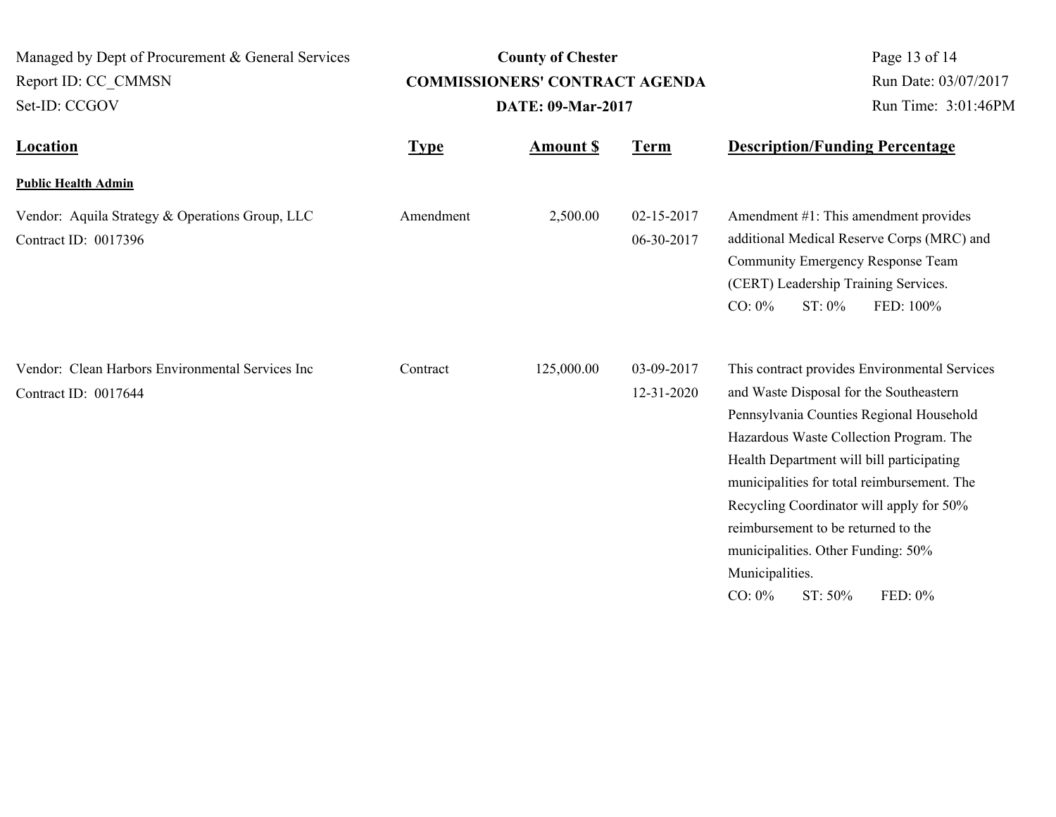| Managed by Dept of Procurement & General Services<br>Report ID: CC CMMSN<br>Set-ID: CCGOV |             | <b>County of Chester</b><br><b>COMMISSIONERS' CONTRACT AGENDA</b><br><b>DATE: 09-Mar-2017</b> | Page 13 of 14<br>Run Date: 03/07/2017<br>Run Time: 3:01:46PM |                                                                                                                                                                                                                                                                                                                                                                                                                                                            |
|-------------------------------------------------------------------------------------------|-------------|-----------------------------------------------------------------------------------------------|--------------------------------------------------------------|------------------------------------------------------------------------------------------------------------------------------------------------------------------------------------------------------------------------------------------------------------------------------------------------------------------------------------------------------------------------------------------------------------------------------------------------------------|
| Location                                                                                  | <b>Type</b> | <b>Amount \$</b>                                                                              | <b>Term</b>                                                  | <b>Description/Funding Percentage</b>                                                                                                                                                                                                                                                                                                                                                                                                                      |
| <b>Public Health Admin</b>                                                                |             |                                                                                               |                                                              |                                                                                                                                                                                                                                                                                                                                                                                                                                                            |
| Vendor: Aquila Strategy & Operations Group, LLC<br>Contract ID: 0017396                   | Amendment   | 2,500.00                                                                                      | 02-15-2017<br>06-30-2017                                     | Amendment #1: This amendment provides<br>additional Medical Reserve Corps (MRC) and<br>Community Emergency Response Team<br>(CERT) Leadership Training Services.<br>ST: 0%<br>FED: 100%<br>$CO: 0\%$                                                                                                                                                                                                                                                       |
| Vendor: Clean Harbors Environmental Services Inc<br>Contract ID: 0017644                  | Contract    | 125,000.00                                                                                    | 03-09-2017<br>12-31-2020                                     | This contract provides Environmental Services<br>and Waste Disposal for the Southeastern<br>Pennsylvania Counties Regional Household<br>Hazardous Waste Collection Program. The<br>Health Department will bill participating<br>municipalities for total reimbursement. The<br>Recycling Coordinator will apply for 50%<br>reimbursement to be returned to the<br>municipalities. Other Funding: 50%<br>Municipalities.<br>$CO: 0\%$<br>ST: 50%<br>FED: 0% |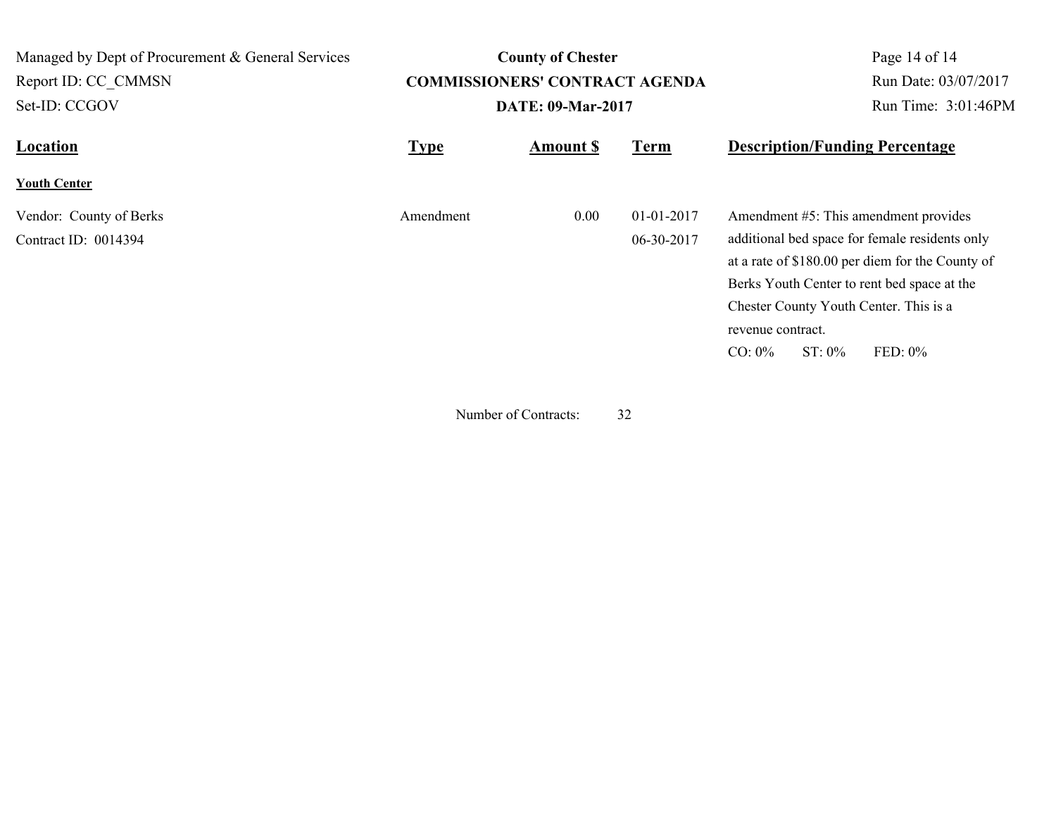| Managed by Dept of Procurement & General Services | <b>County of Chester</b> |                                       |                   |                                                  | Page 14 of 14        |
|---------------------------------------------------|--------------------------|---------------------------------------|-------------------|--------------------------------------------------|----------------------|
| Report ID: CC CMMSN                               |                          | <b>COMMISSIONERS' CONTRACT AGENDA</b> |                   |                                                  | Run Date: 03/07/2017 |
| Set-ID: CCGOV                                     | <b>DATE: 09-Mar-2017</b> |                                       |                   |                                                  | Run Time: 3:01:46PM  |
| Location                                          | <b>Type</b>              | <b>Amount \$</b>                      | <b>Term</b>       | <b>Description/Funding Percentage</b>            |                      |
| <b>Youth Center</b>                               |                          |                                       |                   |                                                  |                      |
| Vendor: County of Berks                           | Amendment                | 0.00                                  | $01-01-2017$      | Amendment #5: This amendment provides            |                      |
| Contract ID: 0014394                              |                          |                                       | 06-30-2017        | additional bed space for female residents only   |                      |
|                                                   |                          |                                       |                   | at a rate of \$180.00 per diem for the County of |                      |
|                                                   |                          |                                       |                   | Berks Youth Center to rent bed space at the      |                      |
|                                                   |                          |                                       |                   | Chester County Youth Center. This is a           |                      |
|                                                   |                          |                                       | revenue contract. |                                                  |                      |
|                                                   |                          |                                       |                   | $CO: 0\%$<br>$ST: 0\%$                           | FED: $0\%$           |

Number of Contracts: 32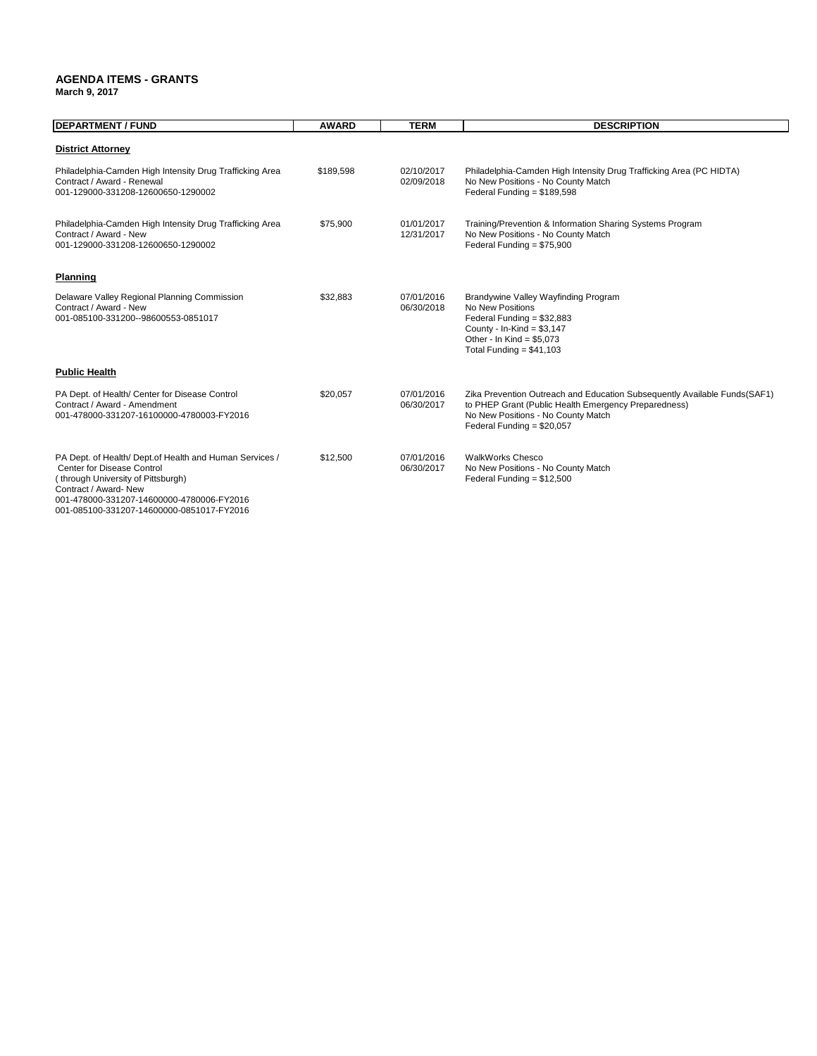#### **AGENDA ITEMS - GRANTS March 9, 2017**

| <b>DEPARTMENT / FUND</b>                                                                                                                                                                                                                       | <b>AWARD</b> | <b>TERM</b>              | <b>DESCRIPTION</b>                                                                                                                                                                                      |
|------------------------------------------------------------------------------------------------------------------------------------------------------------------------------------------------------------------------------------------------|--------------|--------------------------|---------------------------------------------------------------------------------------------------------------------------------------------------------------------------------------------------------|
| <b>District Attorney</b>                                                                                                                                                                                                                       |              |                          |                                                                                                                                                                                                         |
| Philadelphia-Camden High Intensity Drug Trafficking Area<br>Contract / Award - Renewal<br>001-129000-331208-12600650-1290002                                                                                                                   | \$189,598    | 02/10/2017<br>02/09/2018 | Philadelphia-Camden High Intensity Drug Trafficking Area (PC HIDTA)<br>No New Positions - No County Match<br>Federal Funding = $$189,598$                                                               |
| Philadelphia-Camden High Intensity Drug Trafficking Area<br>Contract / Award - New<br>001-129000-331208-12600650-1290002                                                                                                                       | \$75,900     | 01/01/2017<br>12/31/2017 | Training/Prevention & Information Sharing Systems Program<br>No New Positions - No County Match<br>Federal Funding = \$75,900                                                                           |
| Planning                                                                                                                                                                                                                                       |              |                          |                                                                                                                                                                                                         |
| Delaware Valley Regional Planning Commission<br>Contract / Award - New<br>001-085100-331200--98600553-0851017                                                                                                                                  | \$32,883     | 07/01/2016<br>06/30/2018 | Brandywine Valley Wayfinding Program<br>No New Positions<br>Federal Funding = $$32,883$<br>County - In-Kind = $$3,147$<br>Other - In Kind = $$5.073$<br>Total Funding = $$41,103$                       |
| <b>Public Health</b>                                                                                                                                                                                                                           |              |                          |                                                                                                                                                                                                         |
| PA Dept. of Health/ Center for Disease Control<br>Contract / Award - Amendment<br>001-478000-331207-16100000-4780003-FY2016                                                                                                                    | \$20,057     | 07/01/2016<br>06/30/2017 | Zika Prevention Outreach and Education Subsequently Available Funds (SAF1)<br>to PHEP Grant (Public Health Emergency Preparedness)<br>No New Positions - No County Match<br>Federal Funding = $$20,057$ |
| PA Dept. of Health/ Dept.of Health and Human Services /<br>Center for Disease Control<br>(through University of Pittsburgh)<br>Contract / Award- New<br>001-478000-331207-14600000-4780006-FY2016<br>001-085100-331207-14600000-0851017-FY2016 | \$12,500     | 07/01/2016<br>06/30/2017 | <b>WalkWorks Chesco</b><br>No New Positions - No County Match<br>Federal Funding = $$12,500$                                                                                                            |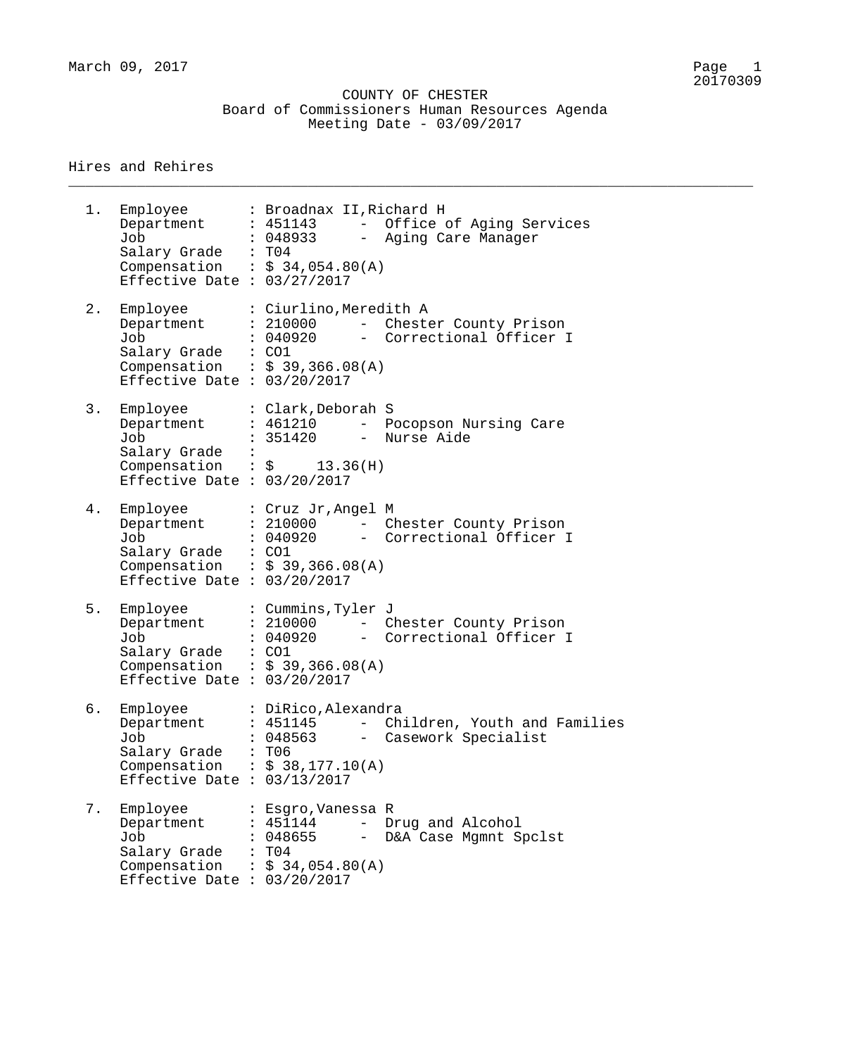\_\_\_\_\_\_\_\_\_\_\_\_\_\_\_\_\_\_\_\_\_\_\_\_\_\_\_\_\_\_\_\_\_\_\_\_\_\_\_\_\_\_\_\_\_\_\_\_\_\_\_\_\_\_\_\_\_\_\_\_\_\_\_\_\_\_\_\_\_\_\_\_\_\_\_\_\_\_\_\_

#### Hires and Rehires

1. Employee : Broadnax II,Richard H Department : 451143 - Office of Aging Services Job : 048933 - Aging Care Manager Salary Grade : T04 Compensation :  $$34,054.80(A)$ Effective Date : 03/27/2017 2. Employee : Ciurlino,Meredith A Department : 210000 - Chester County Prison Job : 040920 - Correctional Officer I Salary Grade : CO1 Compensation :  $$39,366.08(A)$ Effective Date : 03/20/2017 3. Employee : Clark,Deborah S Department : 461210 - Pocopson Nursing Care Job : 351420 - Nurse Aide Salary Grade : Compensation :  $\zeta$  13.36(H) Effective Date : 03/20/2017 4. Employee : Cruz Jr,Angel M Department : 210000 - Chester County Prison Job : 040920 - Correctional Officer I Salary Grade : CO1 Compensation :  $$39,366.08(A)$ Effective Date : 03/20/2017 5. Employee : Cummins,Tyler J Department : 210000 - Chester County Prison Job : 040920 - Correctional Officer I Salary Grade : CO1 Compensation :  $$39,366.08(A)$ Effective Date : 03/20/2017 6. Employee : DiRico,Alexandra Department : 451145 - Children, Youth and Families Job : 048563 - Casework Specialist Salary Grade : T06 Compensation :  $$38,177.10(A)$ Effective Date : 03/13/2017 7. Employee : Esgro,Vanessa R Department : 451144 - Drug and Alcohol Job : 048655 - D&A Case Mgmnt Spclst Salary Grade : T04 Salary Grade : T04<br>Compensation :  $\frac{2}{3}$  34,054.80(A) Effective Date : 03/20/2017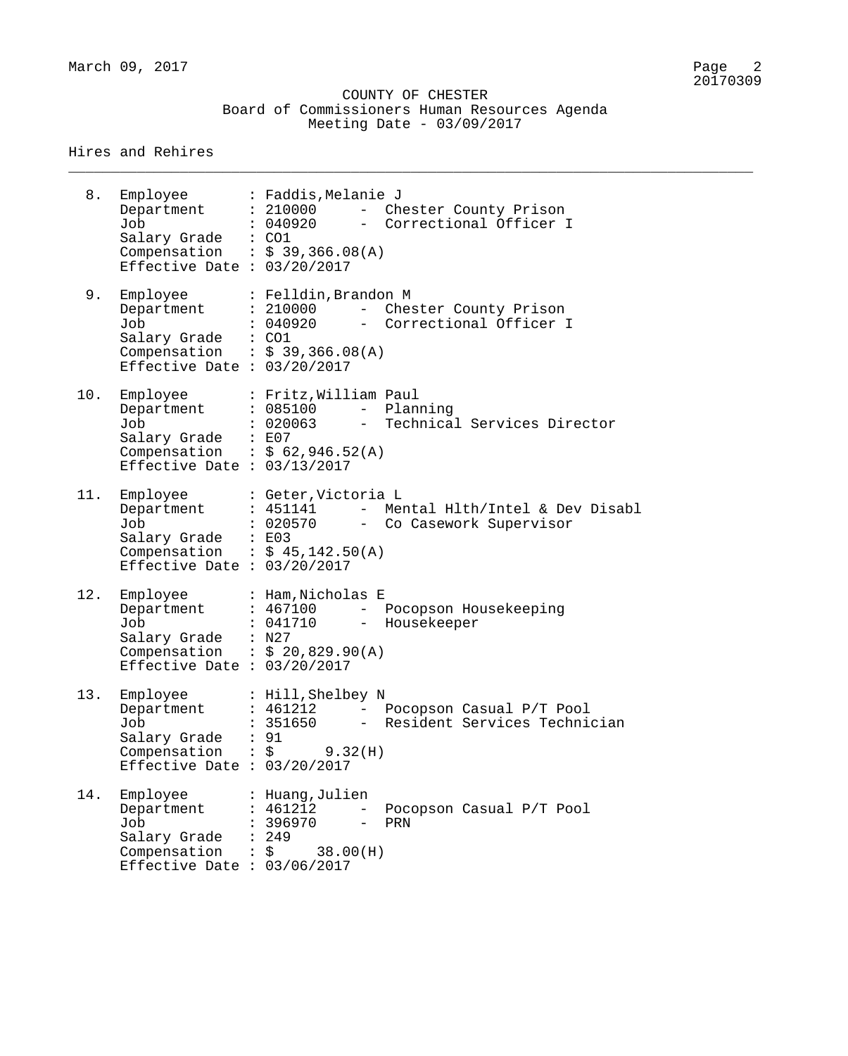|  | COUNTY OF CHESTER                             |  |  |
|--|-----------------------------------------------|--|--|
|  | Board of Commissioners Human Resources Agenda |  |  |
|  | Meeting Date - $03/09/2017$                   |  |  |

\_\_\_\_\_\_\_\_\_\_\_\_\_\_\_\_\_\_\_\_\_\_\_\_\_\_\_\_\_\_\_\_\_\_\_\_\_\_\_\_\_\_\_\_\_\_\_\_\_\_\_\_\_\_\_\_\_\_\_\_\_\_\_\_\_\_\_\_\_\_\_\_\_\_\_\_\_\_\_\_

| 8.  | Employee<br>Department<br>Job<br>Salary Grade : CO1<br>Effective Date : $03/20/2017$           | : Faddis, Melanie J<br>: 210000<br>- Chester County Prison<br>: 040920<br>- Correctional Officer I<br>Compensation : $$39,366.08(A)$          |
|-----|------------------------------------------------------------------------------------------------|-----------------------------------------------------------------------------------------------------------------------------------------------|
| 9.  | Employee<br>Department<br>Job<br>Salary Grade : CO1<br>Effective Date : $03/20/2017$           | : Felldin, Brandon M<br>: 210000<br>- Chester County Prison<br>: 040920<br>- Correctional Officer I<br>Compensation : $$39,366.08(A)$         |
| 10. | Employee<br>Department<br>Job<br>Salary Grade : E07<br>Effective Date : $03/13/2017$           | : Fritz, William Paul<br>: 085100<br>- Planning<br>- Technical Services Director<br>: 020063<br>Compensation : $$62,946.52(A)$                |
| 11. | Employee<br>Department<br>Job<br>Salary Grade : E03<br>Effective Date : $03/20/2017$           | : Geter, Victoria L<br>: 451141<br>- Mental Hlth/Intel & Dev Disabl<br>: 020570<br>- Co Casework Supervisor<br>Compensation : $$45,142.50(A)$ |
| 12. | Employee<br>Department<br>Job<br>Salary Grade : N27<br>Effective Date : $03/20/2017$           | : Ham, Nicholas E<br>: 467100<br>- Pocopson Housekeeping<br>: 041710 - Housekeeper<br>Compensation : $$20,829.90(A)$                          |
| 13. | Employee<br>Department<br>d O.D<br>Salary Grade<br>Compensation<br>Effective Date              | : Hill, Shelbey N<br>: 461212<br>- Pocopson Casual P/T Pool<br>351650<br>Resident Services Technician<br>91<br>\$<br>9.32(H)<br>: 03/20/2017  |
| 14. | Employee<br>Department<br>Job<br>Salary Grade<br>Compensation<br>Effective Date : $03/06/2017$ | : Huang,Julien<br>: 461212<br>Pocopson Casual P/T Pool<br>396970<br>PRN<br>: 249<br>\$<br>38.00(H)                                            |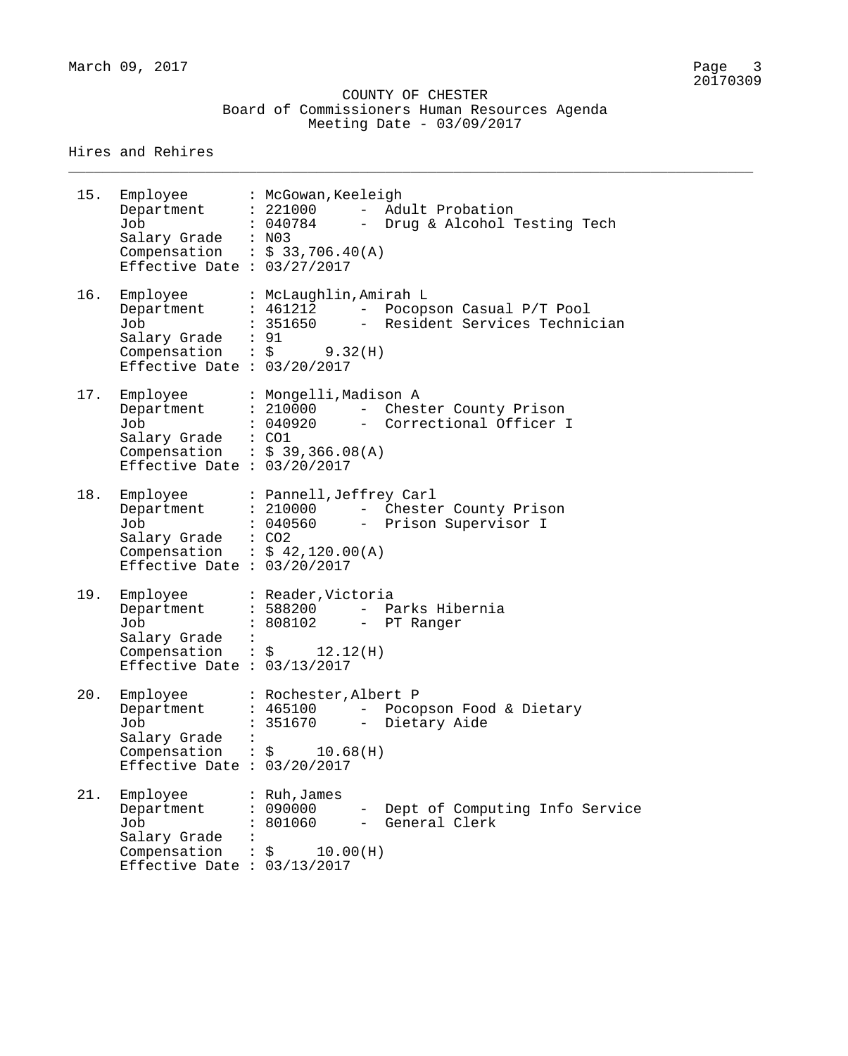COUNTY OF CHESTER Board of Commissioners Human Resources Agenda Meeting Date - 03/09/2017

\_\_\_\_\_\_\_\_\_\_\_\_\_\_\_\_\_\_\_\_\_\_\_\_\_\_\_\_\_\_\_\_\_\_\_\_\_\_\_\_\_\_\_\_\_\_\_\_\_\_\_\_\_\_\_\_\_\_\_\_\_\_\_\_\_\_\_\_\_\_\_\_\_\_\_\_\_\_\_\_

| 15. | Employee : McGowan, Keeleigh<br>Department : 221000<br>Job<br>Salary Grade : N03<br>Compensation : $$33,706.40(A)$<br>Effective Date : $03/27/2017$ |                                                                       |     | - Adult Probation<br>: 040784 - Drug & Alcohol Testing Tech                    |
|-----|-----------------------------------------------------------------------------------------------------------------------------------------------------|-----------------------------------------------------------------------|-----|--------------------------------------------------------------------------------|
| 16. | Employee<br>Department<br>Job<br>Salary Grade : 91<br>Compensation : $\zeta$ 9.32(H)<br>Effective Date : $03/20/2017$                               | : McLaughlin, Amirah L                                                |     | : 461212 - Pocopson Casual P/T Pool<br>: 351650 - Resident Services Technician |
| 17. | Employee<br>Department<br>Job<br>Salary Grade : CO1<br>Compensation : $$39,366.08(A)$<br>Effective Date : $03/20/2017$                              | : Mongelli, Madison A                                                 |     | : 210000 - Chester County Prison<br>: 040920 - Correctional Officer I          |
| 18. | Employee<br>Department<br>Job<br>Salary Grade : CO2<br>Compensation : $$42,120.00(A)$<br>Effective Date : $03/20/2017$                              | : Pannell, Jeffrey Carl<br>: 210000                                   |     | - Chester County Prison<br>: 040560 - Prison Supervisor I                      |
| 19. | Employee<br>Department<br>Job<br>Salary Grade :<br>Compensation : $\frac{1}{2}$ 12.12(H)<br>Effective Date : $03/13/2017$                           | : Reader, Victoria<br>: 808102 - PT Ranger                            |     | : 588200 - Parks Hibernia                                                      |
| 20. | Employee<br>Department<br>Job<br>Salary Grade<br>Compensation : $\frac{1}{5}$ 10.68(H)<br>Effective Date : $03/20/2017$                             | : Rochester, Albert P<br>: 465100<br>351670                           | $-$ | Pocopson Food & Dietary<br>Dietary Aide                                        |
| 21. | Employee<br>Department<br>Job<br>Salary Grade<br>Compensation<br>Effective Date : $03/13/2017$                                                      | : $Ruh, James$<br>: 090000<br>: 801060<br>$\therefore$ \$<br>10.00(H) |     | - Dept of Computing Info Service<br>- General Clerk                            |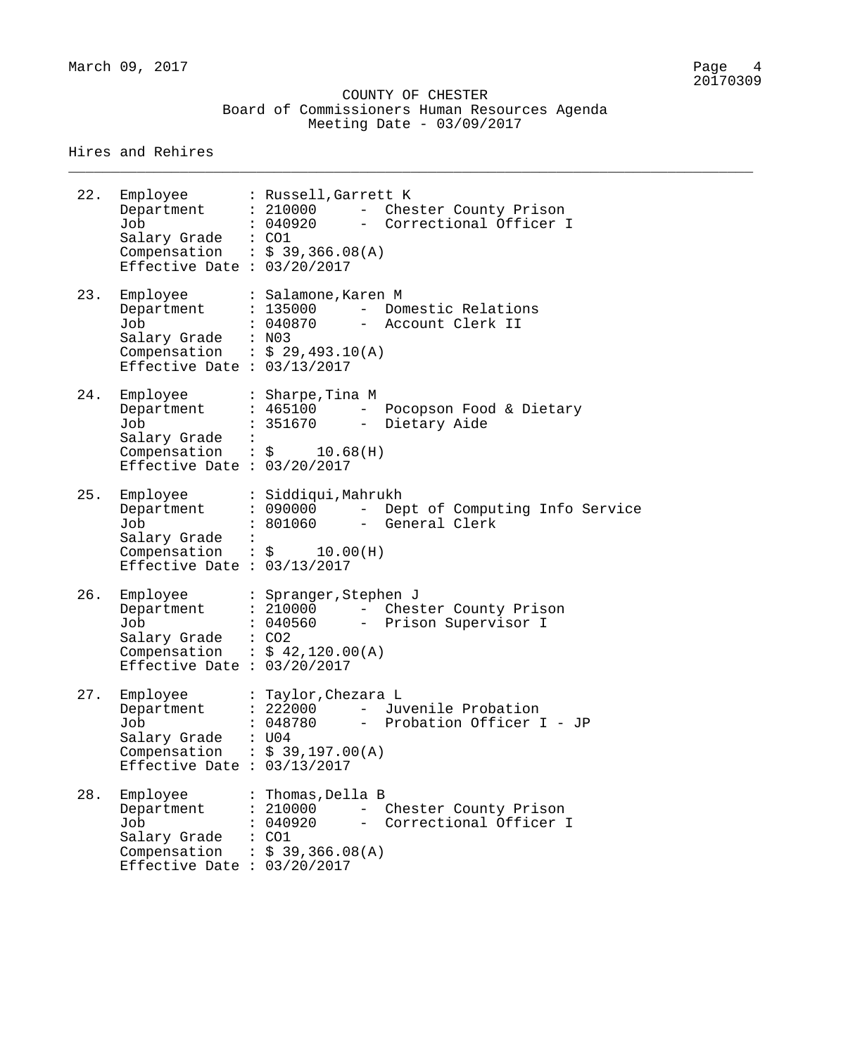|  | COUNTY OF CHESTER                             |  |  |
|--|-----------------------------------------------|--|--|
|  | Board of Commissioners Human Resources Agenda |  |  |
|  | Meeting Date - $03/09/2017$                   |  |  |

\_\_\_\_\_\_\_\_\_\_\_\_\_\_\_\_\_\_\_\_\_\_\_\_\_\_\_\_\_\_\_\_\_\_\_\_\_\_\_\_\_\_\_\_\_\_\_\_\_\_\_\_\_\_\_\_\_\_\_\_\_\_\_\_\_\_\_\_\_\_\_\_\_\_\_\_\_\_\_\_

| 22. | Employee : Russell, Garrett K<br>Department : 210000<br>Job<br>Salary Grade : CO1<br>Compensation : $$39,366.08(A)$<br>Effective Date : $03/20/2017$ |       | : 040920                                                      |     | - Chester County Prison<br>- Correctional Officer I                   |
|-----|------------------------------------------------------------------------------------------------------------------------------------------------------|-------|---------------------------------------------------------------|-----|-----------------------------------------------------------------------|
| 23. | Employee<br>Department<br>Job<br>Salary Grade : N03<br>Compensation : $$29,493.10(A)$<br>Effective Date : $03/13/2017$                               |       | : Salamone, Karen M<br>: 135000                               |     | - Domestic Relations<br>: 040870 - Account Clerk II                   |
| 24. | Employee<br>Department<br>Job<br>Salary Grade :<br>Compensation : $\frac{1}{2}$ 10.68(H)<br>Effective Date : $03/20/2017$                            |       | : Sharpe, Tina M                                              |     | : 465100 - Pocopson Food & Dietary<br>: 351670 - Dietary Aide         |
| 25. | Employee<br>Department<br>Job<br>Salary Grade :<br>Compensation : $\frac{1}{2}$ 10.00(H)<br>Effective Date : $03/13/2017$                            |       | : Siddiqui, Mahrukh                                           |     | : 090000 - Dept of Computing Info Service<br>: 801060 - General Clerk |
| 26. | Employee<br>Department<br>Job<br>Salary Grade : CO2<br>Compensation : $$42,120.00(A)$<br>Effective Date : $03/20/2017$                               |       | : Spranger, Stephen J                                         |     | : 210000 - Chester County Prison<br>: 040560 - Prison Supervisor I    |
| 27. | Employee : Taylor, Chezara L<br>Department<br>Job<br>Salary Grade<br>Compensation : $$39,197.00(A)$<br>Effective Date : $03/13/2017$                 | : U04 | : 222000<br>048780                                            | $-$ | Juvenile Probation<br>Probation Officer I - JP                        |
| 28. | Employee<br>Department<br>Job<br>Salary Grade<br>Compensation<br>Effective Date : $03/20/2017$                                                       | : CO1 | : Thomas, Della B<br>: 210000<br>: 040920<br>: \$39,366.08(A) |     | Chester County Prison<br>- Correctional Officer I                     |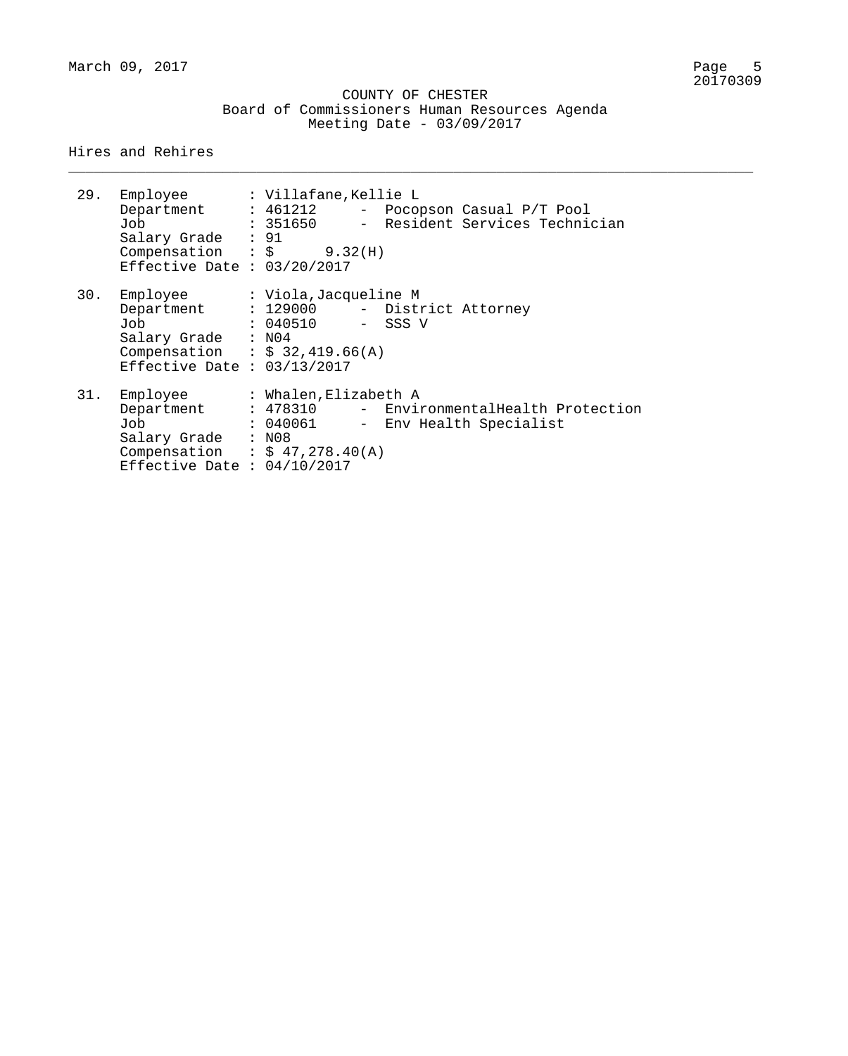|  |                             | COUNTY OF CHESTER |                                               |  |
|--|-----------------------------|-------------------|-----------------------------------------------|--|
|  |                             |                   | Board of Commissioners Human Resources Agenda |  |
|  | Meeting Date - $03/09/2017$ |                   |                                               |  |

\_\_\_\_\_\_\_\_\_\_\_\_\_\_\_\_\_\_\_\_\_\_\_\_\_\_\_\_\_\_\_\_\_\_\_\_\_\_\_\_\_\_\_\_\_\_\_\_\_\_\_\_\_\_\_\_\_\_\_\_\_\_\_\_\_\_\_\_\_\_\_\_\_\_\_\_\_\_\_\_

| 29. | Employee : Villafane,Kellie L<br>Job<br>Salary Grade : 91<br>Compensation : $\zeta$ 9.32(H)<br>Effective Date : $03/20/2017$                        |                                                          |  | Department : 461212 - Pocopson Casual P/T Pool<br>: 351650 - Resident Services Technician |
|-----|-----------------------------------------------------------------------------------------------------------------------------------------------------|----------------------------------------------------------|--|-------------------------------------------------------------------------------------------|
| 30. | Employee<br>Department : 129000 - District Attorney<br>Job<br>Salary Grade : N04<br>Compensation : $$32,419.66(A)$<br>Effective Date : $03/13/2017$ | : Viola,Jacqueline M<br>: 040510 - SSS V                 |  |                                                                                           |
| 31. | Employee<br>Job<br>Salary Grade : N08<br>Compensation : $$ 47,278.40(A)$<br>Effective Date : $04/10/2017$                                           | : Whalen,Elizabeth A<br>: 040061 - Env Health Specialist |  | Department : 478310 - EnvironmentalHealth Protection                                      |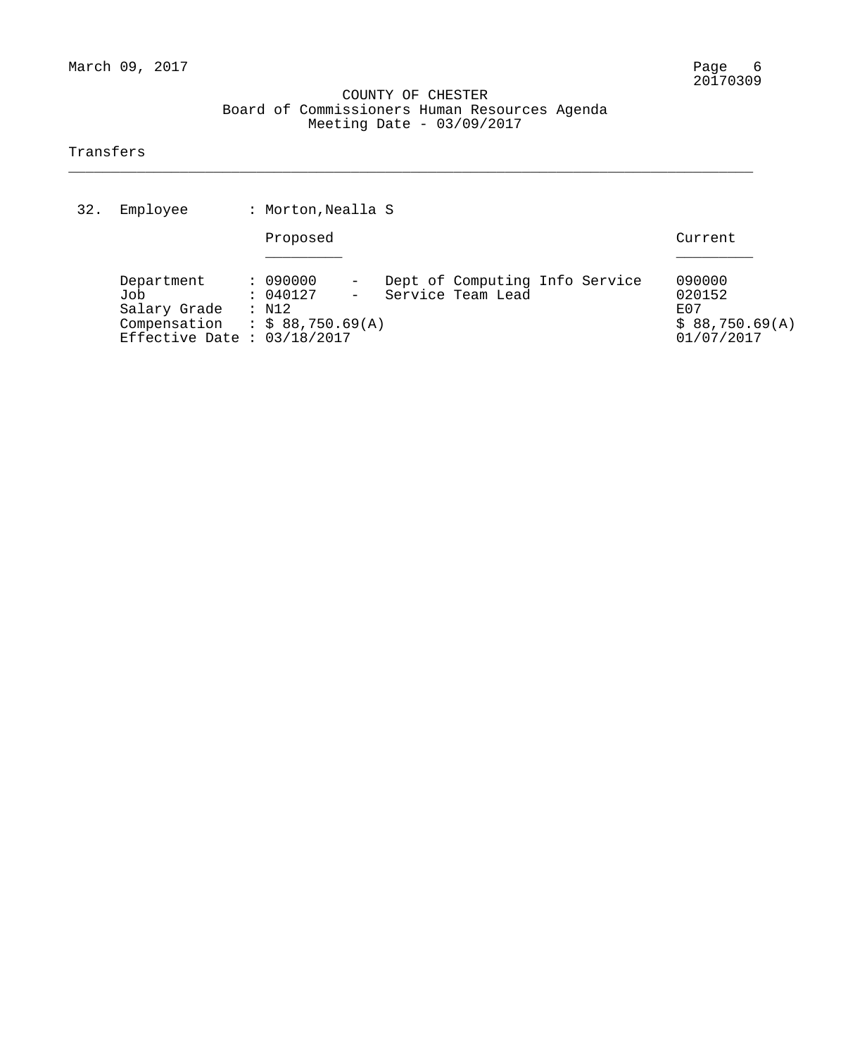\_\_\_\_\_\_\_\_\_\_\_\_\_\_\_\_\_\_\_\_\_\_\_\_\_\_\_\_\_\_\_\_\_\_\_\_\_\_\_\_\_\_\_\_\_\_\_\_\_\_\_\_\_\_\_\_\_\_\_\_\_\_\_\_\_\_\_\_\_\_\_\_\_\_\_\_\_\_\_\_

#### Transfers

| 32. | Employee                                                                           | : Morton, Nealla S                                            |                                                     |                                                           |
|-----|------------------------------------------------------------------------------------|---------------------------------------------------------------|-----------------------------------------------------|-----------------------------------------------------------|
|     |                                                                                    | Proposed                                                      |                                                     | Current                                                   |
|     | Department<br>Job<br>Salary Grade<br>Compensation<br>Effective Date : $03/18/2017$ | : 090000<br>: 040127<br>: N12<br>$\therefore$ \$ 88,750.69(A) | Dept of Computing Info Service<br>Service Team Lead | 090000<br>020152<br>F.O.7<br>\$88,750.69(A)<br>01/07/2017 |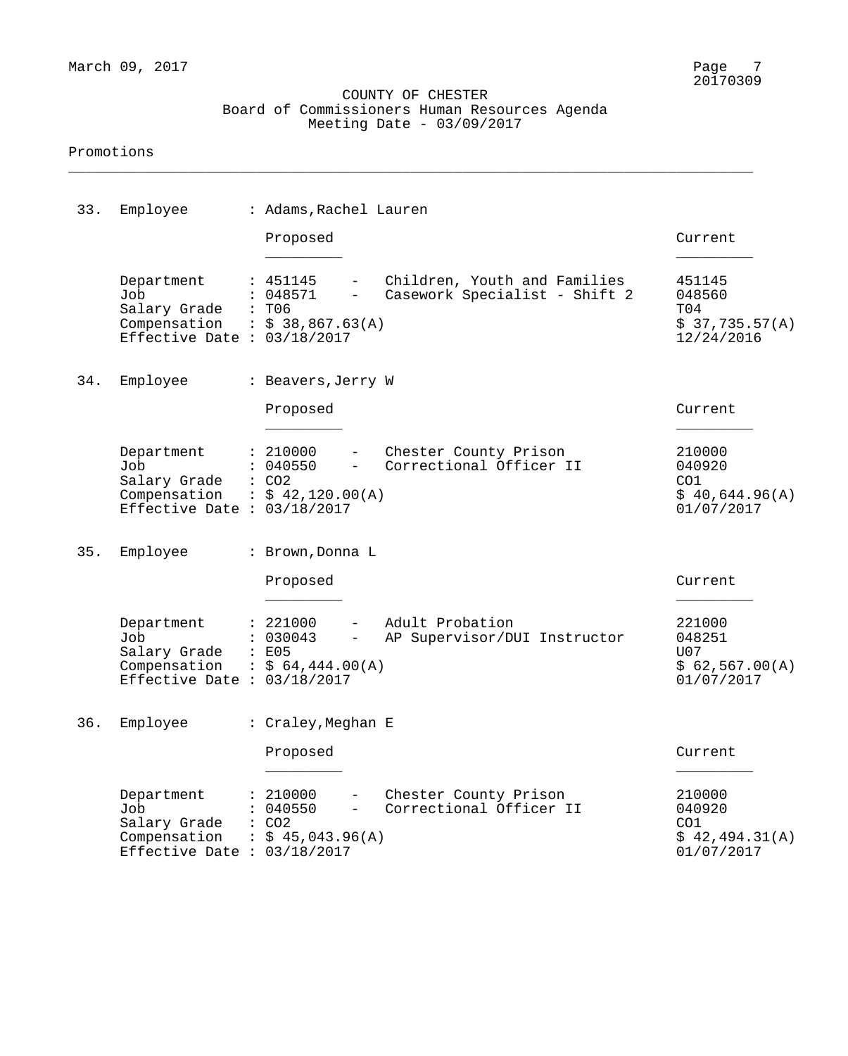\_\_\_\_\_\_\_\_\_\_\_\_\_\_\_\_\_\_\_\_\_\_\_\_\_\_\_\_\_\_\_\_\_\_\_\_\_\_\_\_\_\_\_\_\_\_\_\_\_\_\_\_\_\_\_\_\_\_\_\_\_\_\_\_\_\_\_\_\_\_\_\_\_\_\_\_\_\_\_\_

| 33. | Employee                                                                                             | : Adams, Rachel Lauren                                                                         |                                                               |                                                         |
|-----|------------------------------------------------------------------------------------------------------|------------------------------------------------------------------------------------------------|---------------------------------------------------------------|---------------------------------------------------------|
|     |                                                                                                      | Proposed                                                                                       |                                                               | Current                                                 |
|     | Department<br>Job<br>Salary Grade<br>Compensation : $$38,867.63(A)$<br>Effective Date : $03/18/2017$ | : 451145<br>$\overline{\phantom{0}}$<br>048571<br>$-$<br>: T06                                 | Children, Youth and Families<br>Casework Specialist - Shift 2 | 451145<br>048560<br>T04<br>\$37,735.57(A)<br>12/24/2016 |
| 34. | Employee                                                                                             | : Beavers, Jerry W                                                                             |                                                               |                                                         |
|     |                                                                                                      | Proposed                                                                                       |                                                               | Current                                                 |
|     | Department<br>Job<br>Salary Grade<br>Compensation : $$42,120.00(A)$<br>Effective Date : $03/18/2017$ | : 210000<br>$-$<br>040550<br>$-$<br>$\colon$ CO2                                               | Chester County Prison<br>Correctional Officer II              | 210000<br>040920<br>CO1<br>\$40,644.96(A)<br>01/07/2017 |
| 35. | Employee                                                                                             | : Brown, Donna L                                                                               |                                                               |                                                         |
|     |                                                                                                      | Proposed                                                                                       |                                                               | Current                                                 |
|     | Department<br>Job<br>Salary Grade<br>Compensation<br>Effective Date : $03/18/2017$                   | : 221000<br>$\overline{\phantom{0}}$<br>030043<br>$-$<br>: E05<br>$\therefore$ \$ 64,444.00(A) | Adult Probation<br>AP Supervisor/DUI Instructor               | 221000<br>048251<br>U07<br>\$62,567.00(A)<br>01/07/2017 |
| 36. | Employee                                                                                             | : Craley, Meghan E                                                                             |                                                               |                                                         |
|     |                                                                                                      | Proposed                                                                                       |                                                               | Current                                                 |
|     | Department<br>Job<br>Salary Grade<br>Compensation<br>Effective Date : $03/18/2017$                   | : 210000<br>040550<br>$-$<br>: CO2<br>: \$45,043.96(A)                                         | Chester County Prison<br>Correctional Officer II              | 210000<br>040920<br>CO1<br>\$42,494.31(A)<br>01/07/2017 |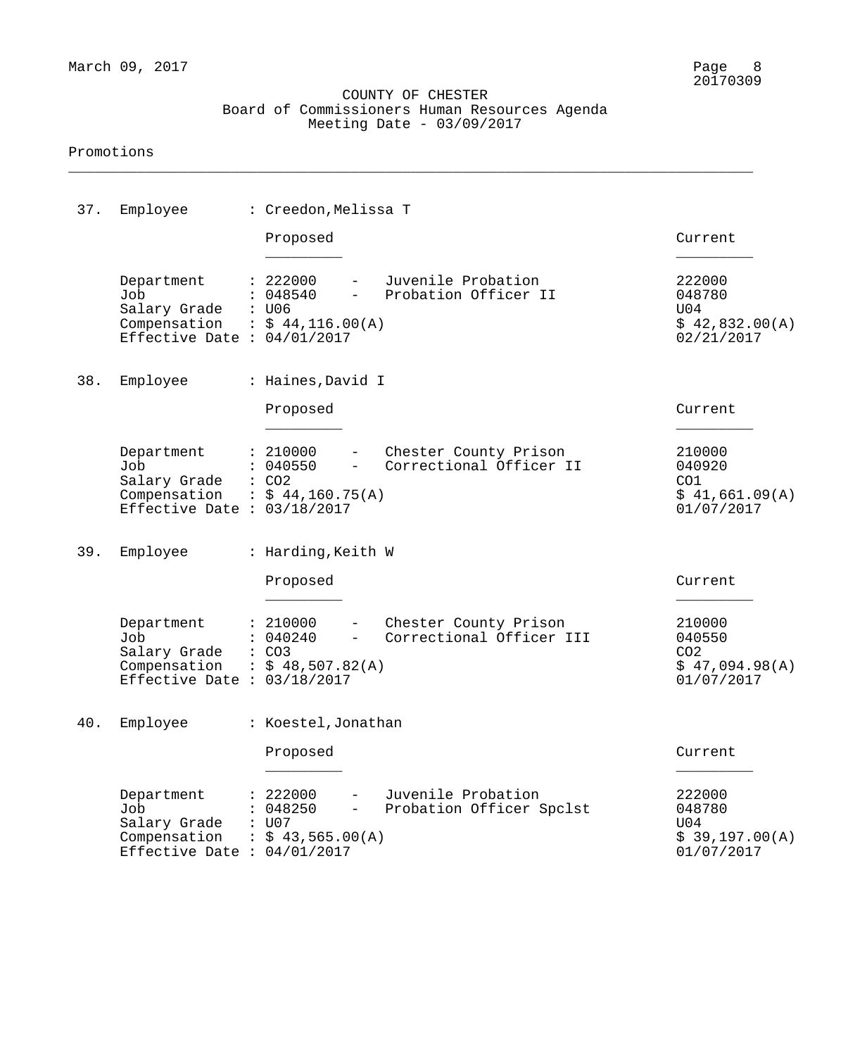\_\_\_\_\_\_\_\_\_\_\_\_\_\_\_\_\_\_\_\_\_\_\_\_\_\_\_\_\_\_\_\_\_\_\_\_\_\_\_\_\_\_\_\_\_\_\_\_\_\_\_\_\_\_\_\_\_\_\_\_\_\_\_\_\_\_\_\_\_\_\_\_\_\_\_\_\_\_\_\_

| 37. | Employee                                                                           | : Creedon, Melissa T                                                                       |                                                    |                                                                     |
|-----|------------------------------------------------------------------------------------|--------------------------------------------------------------------------------------------|----------------------------------------------------|---------------------------------------------------------------------|
|     |                                                                                    | Proposed                                                                                   |                                                    | Current                                                             |
|     | Department<br>Job<br>Salary Grade<br>Compensation<br>Effective Date : $04/01/2017$ | : 222000<br>: 048540<br>$ \,$<br>: U06<br>$\therefore$ \$ 44, 116.00(A)                    | Juvenile Probation<br>Probation Officer II         | 222000<br>048780<br>U04<br>\$42,832.00(A)<br>02/21/2017             |
| 38. | Employee                                                                           | : Haines, David I                                                                          |                                                    |                                                                     |
|     |                                                                                    | Proposed                                                                                   |                                                    | Current                                                             |
|     | Department<br>Job<br>Salary Grade<br>Compensation<br>Effective Date : $03/18/2017$ | : 210000<br>: 040550<br>$ \,$<br>$\therefore$ CO2<br>$\div$ \$ 44,160.75(A)                | - Chester County Prison<br>Correctional Officer II | 210000<br>040920<br>CO1<br>\$41,661.09(A)<br>01/07/2017             |
| 39. | Employee                                                                           | : Harding, Keith W                                                                         |                                                    |                                                                     |
|     |                                                                                    | Proposed                                                                                   |                                                    | Current                                                             |
|     | Department<br>Job<br>Salary Grade<br>Compensation<br>Effective Date : $03/18/2017$ | : 210000<br>: 040240<br>$\frac{1}{2}$ and $\frac{1}{2}$<br>: CO3<br>$\div$ \$ 48,507.82(A) | Chester County Prison<br>Correctional Officer III  | 210000<br>040550<br>CO <sub>2</sub><br>\$47,094.98(A)<br>01/07/2017 |
|     | 40. Employee                                                                       | : Koestel, Jonathan                                                                        |                                                    |                                                                     |
|     |                                                                                    | Proposed                                                                                   |                                                    | Current                                                             |
|     | Department<br>Job<br>Salary Grade<br>Compensation<br>Effective Date : $04/01/2017$ | 222000<br>048250<br>U07<br>: \$43,565.00(A)                                                | Juvenile Probation<br>Probation Officer Spclst     | 222000<br>048780<br>U04<br>\$39,197.00(A)<br>01/07/2017             |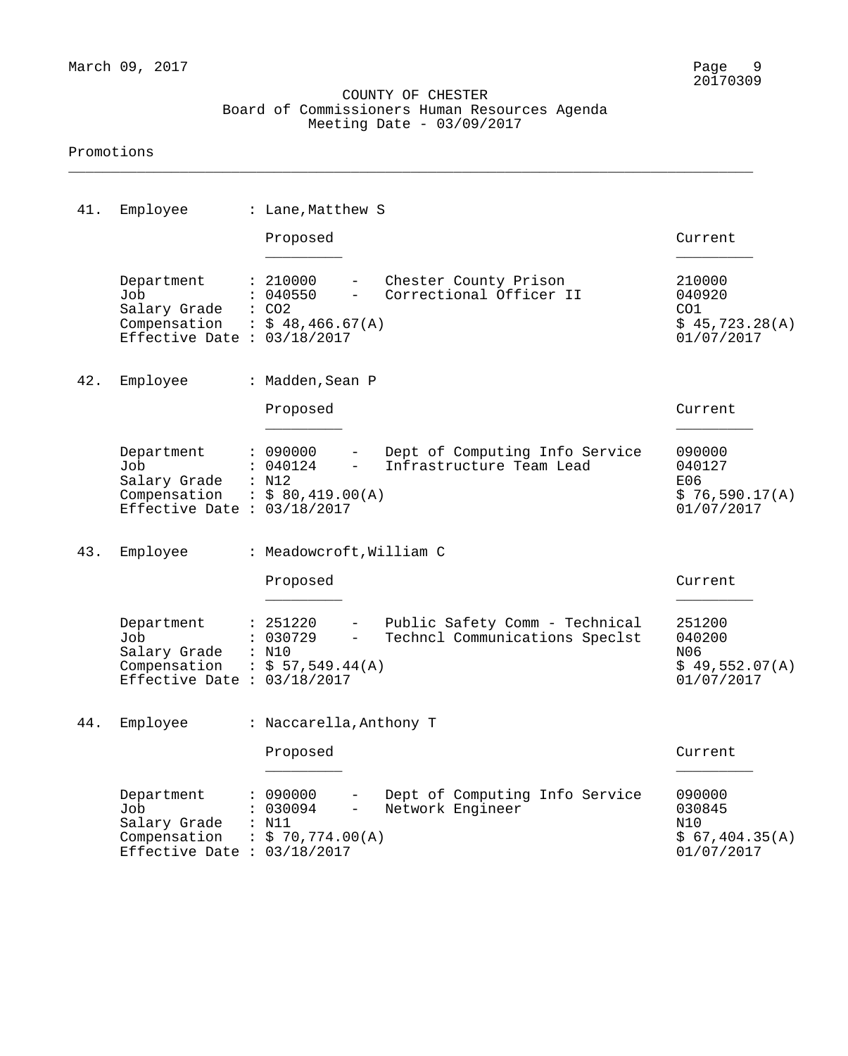\_\_\_\_\_\_\_\_\_\_\_\_\_\_\_\_\_\_\_\_\_\_\_\_\_\_\_\_\_\_\_\_\_\_\_\_\_\_\_\_\_\_\_\_\_\_\_\_\_\_\_\_\_\_\_\_\_\_\_\_\_\_\_\_\_\_\_\_\_\_\_\_\_\_\_\_\_\_\_\_

| 41. | Employee                                                                           | : Lane, Matthew S                                                                                                                                                   |                                                         |
|-----|------------------------------------------------------------------------------------|---------------------------------------------------------------------------------------------------------------------------------------------------------------------|---------------------------------------------------------|
|     |                                                                                    | Proposed                                                                                                                                                            | Current                                                 |
|     | Department<br>Job<br>Salary Grade<br>Compensation<br>Effective Date : $03/18/2017$ | : 210000<br>Chester County Prison<br>$-$<br>Correctional Officer II<br>: 040550<br>$-$<br>$\colon$ CO <sub>2</sub><br>$\frac{1}{5}$ \$ 48,466.67(A)                 | 210000<br>040920<br>CO1<br>\$45,723.28(A)<br>01/07/2017 |
| 42. | Employee                                                                           | : Madden, Sean P                                                                                                                                                    |                                                         |
|     |                                                                                    | Proposed                                                                                                                                                            | Current                                                 |
|     | Department<br>Job<br>Salary Grade<br>Compensation<br>Effective Date : $03/18/2017$ | : 090000<br>Dept of Computing Info Service<br>Infrastructure Team Lead<br>: 040124<br>$-$<br>: N12<br>: \$80,419.00(A)                                              | 090000<br>040127<br>E06<br>\$76,590.17(A)<br>01/07/2017 |
| 43. | Employee                                                                           | : Meadowcroft, William C                                                                                                                                            |                                                         |
|     |                                                                                    | Proposed                                                                                                                                                            | Current                                                 |
|     | Department<br>Job<br>Salary Grade<br>Compensation<br>Effective Date : $03/18/2017$ | Public Safety Comm - Technical<br>: 251220<br>$\overline{\phantom{a}}$<br>: 030729<br>Techncl Communications Speclst<br>$\frac{1}{2}$<br>: N10<br>: $$57,549.44(A)$ | 251200<br>040200<br>N06<br>\$49,552.07(A)<br>01/07/2017 |
|     | 44. Employee                                                                       | : Naccarella, Anthony T                                                                                                                                             |                                                         |
|     |                                                                                    | Proposed                                                                                                                                                            | Current                                                 |
|     | Department<br>Job<br>Salary Grade<br>Compensation<br>Effective Date : $03/18/2017$ | : 090000<br>Dept of Computing Info Service<br>Network Engineer<br>: 030094<br>$\qquad \qquad -$<br>: N11<br>: \$ 70,774.00(A)                                       | 090000<br>030845<br>N10<br>\$67,404.35(A)<br>01/07/2017 |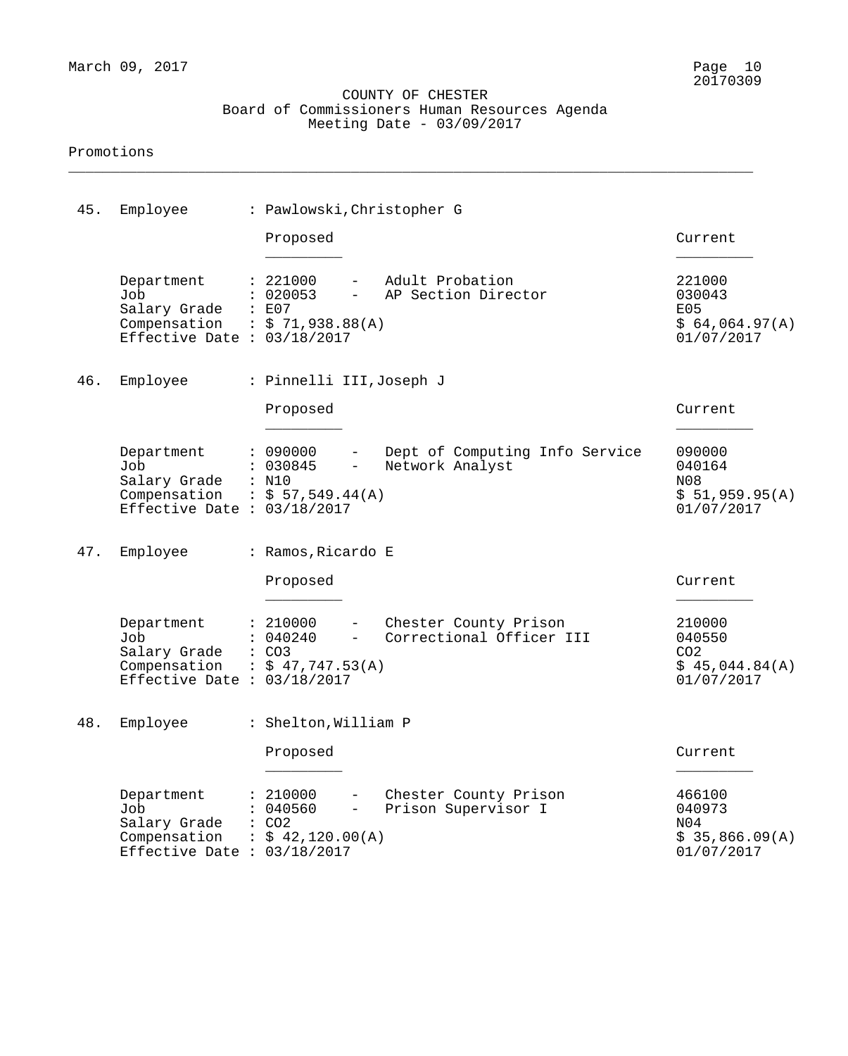\_\_\_\_\_\_\_\_\_\_\_\_\_\_\_\_\_\_\_\_\_\_\_\_\_\_\_\_\_\_\_\_\_\_\_\_\_\_\_\_\_\_\_\_\_\_\_\_\_\_\_\_\_\_\_\_\_\_\_\_\_\_\_\_\_\_\_\_\_\_\_\_\_\_\_\_\_\_\_\_

| 45. | Employee                                                                                                    | : Pawlowski, Christopher G                                                                            |                                                                     |
|-----|-------------------------------------------------------------------------------------------------------------|-------------------------------------------------------------------------------------------------------|---------------------------------------------------------------------|
|     |                                                                                                             | Proposed                                                                                              | Current                                                             |
|     | Department<br>Job<br>Salary Grade : E07<br>Compensation : $$ 71,938.88(A)$<br>Effective Date : $03/18/2017$ | : 221000<br>Adult Probation<br>: 020053<br>AP Section Director                                        | 221000<br>030043<br>E05<br>\$64,064.97(A)<br>01/07/2017             |
| 46. | Employee                                                                                                    | : Pinnelli III, Joseph J                                                                              |                                                                     |
|     |                                                                                                             | Proposed                                                                                              | Current                                                             |
|     | Department<br>Job<br>Salary Grade : N10<br>Compensation : $$57,549.44(A)$<br>Effective Date : $03/18/2017$  | : 090000<br>Dept of Computing Info Service<br>Network Analyst<br>: 030845                             | 090000<br>040164<br>N08<br>\$51,959.95(A)<br>01/07/2017             |
| 47. | Employee                                                                                                    | : Ramos, Ricardo E                                                                                    |                                                                     |
|     |                                                                                                             | Proposed                                                                                              | Current                                                             |
|     | Department<br>Job<br>Salary Grade<br>Compensation : $$47,747.53(A)$<br>Effective Date : $03/18/2017$        | : 210000<br>Chester County Prison<br>Correctional Officer III<br>: 040240<br>: CO3                    | 210000<br>040550<br>CO <sub>2</sub><br>\$45,044.84(A)<br>01/07/2017 |
| 48. | Employee                                                                                                    | : Shelton, William P                                                                                  |                                                                     |
|     |                                                                                                             | Proposed                                                                                              | Current                                                             |
|     | Department<br>Job<br>Salary Grade<br>Compensation<br>Effective Date : $03/18/2017$                          | : 210000<br>Chester County Prison<br>Prison Supervisor I<br>040560<br>: CO2<br>$\div$ \$ 42,120.00(A) | 466100<br>040973<br>N04<br>\$35,866.09(A)<br>01/07/2017             |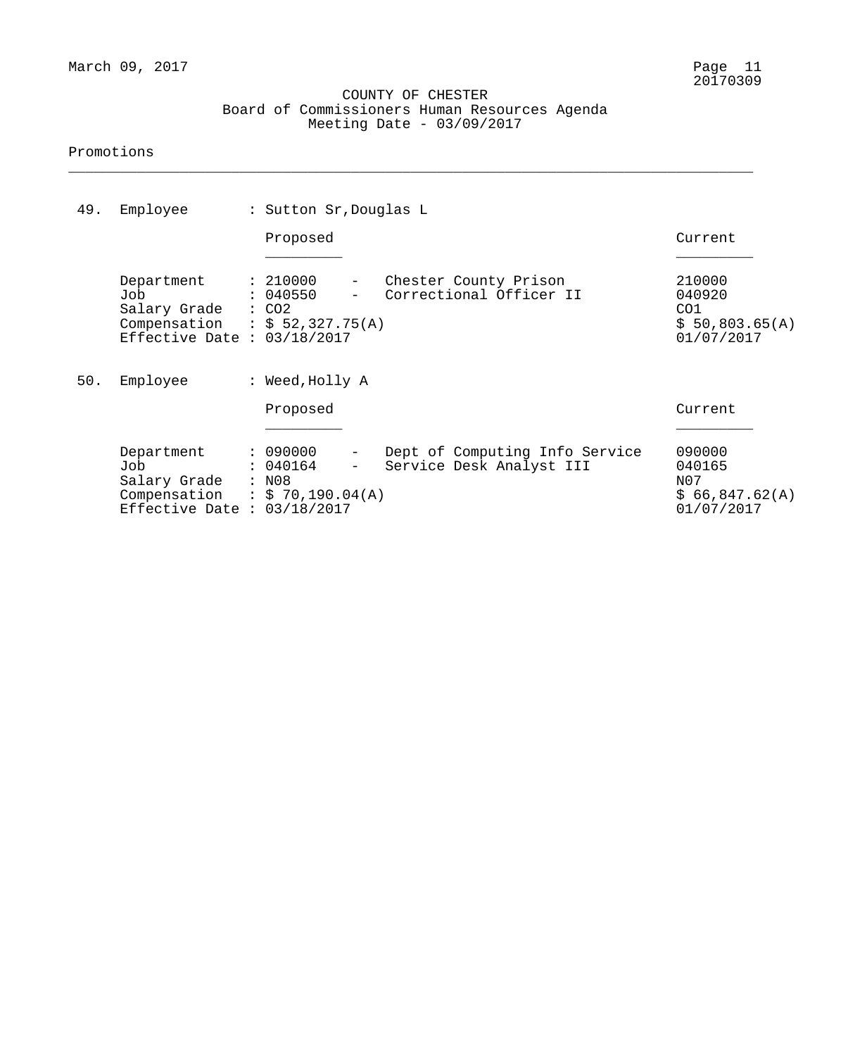\_\_\_\_\_\_\_\_\_\_\_\_\_\_\_\_\_\_\_\_\_\_\_\_\_\_\_\_\_\_\_\_\_\_\_\_\_\_\_\_\_\_\_\_\_\_\_\_\_\_\_\_\_\_\_\_\_\_\_\_\_\_\_\_\_\_\_\_\_\_\_\_\_\_\_\_\_\_\_\_

| 49. | Employee                                                                                             | : Sutton Sr, Douglas L                                                                                                       |                                                         |
|-----|------------------------------------------------------------------------------------------------------|------------------------------------------------------------------------------------------------------------------------------|---------------------------------------------------------|
|     |                                                                                                      | Proposed                                                                                                                     | Current                                                 |
|     | Department<br>Job<br>Salary Grade<br>Compensation : $$52,327.75(A)$<br>Effective Date : $03/18/2017$ | : 210000<br>Chester County Prison<br>$ \,$<br>Correctional Officer II<br>: 040550<br>$\colon$ CO2                            | 210000<br>040920<br>CO1<br>\$50,803.65(A)<br>01/07/2017 |
| 50. | Employee                                                                                             | : Weed, Holly A                                                                                                              |                                                         |
|     |                                                                                                      | Proposed                                                                                                                     | Current                                                 |
|     | Department<br>Job<br>Salary Grade<br>Compensation<br>Effective Date : $03/18/2017$                   | : 090000<br>Dept of Computing Info Service<br>$-$<br>Service Desk Analyst III<br>040164<br>$-$<br>: N08<br>: \$ 70,190.04(A) | 090000<br>040165<br>N07<br>\$66,847.62(A)<br>01/07/2017 |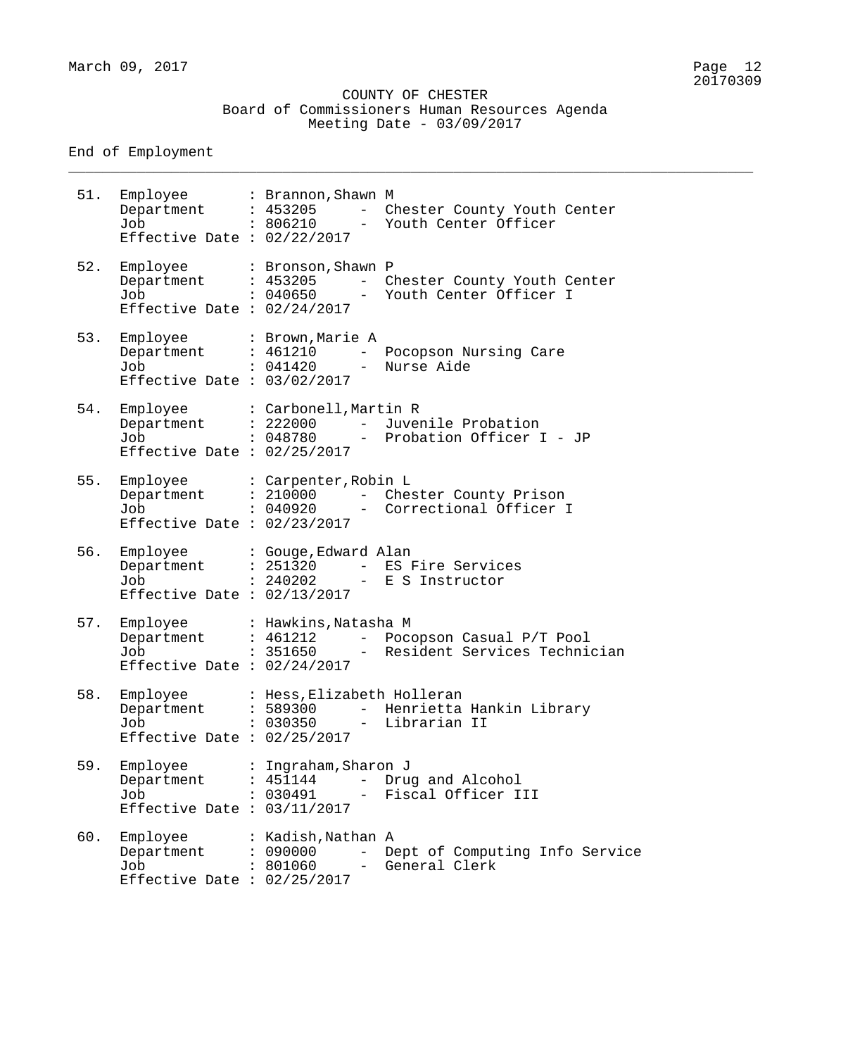\_\_\_\_\_\_\_\_\_\_\_\_\_\_\_\_\_\_\_\_\_\_\_\_\_\_\_\_\_\_\_\_\_\_\_\_\_\_\_\_\_\_\_\_\_\_\_\_\_\_\_\_\_\_\_\_\_\_\_\_\_\_\_\_\_\_\_\_\_\_\_\_\_\_\_\_\_\_\_\_

End of Employment

| 51. | Employee<br>Department<br>Job<br>Effective Date : $02/22/2017$ | : Brannon, Shawn M<br>: 453205<br>: 806210         | $\overline{\phantom{0}}$<br>$\qquad \qquad -$ | Chester County Youth Center<br>Youth Center Officer                   |
|-----|----------------------------------------------------------------|----------------------------------------------------|-----------------------------------------------|-----------------------------------------------------------------------|
| 52. | Employee<br>Department<br>Job<br>Effective Date : $02/24/2017$ | : Bronson, Shawn P<br>: 453205<br>: 040650         | $ -$<br>$\overline{\phantom{m}}$              | Chester County Youth Center<br>Youth Center Officer I                 |
| 53. | Employee<br>Department<br>Job<br>Effective Date : $03/02/2017$ | : Brown, Marie A<br>: 461210<br>: 041420           | $\overline{\phantom{m}}$                      | Pocopson Nursing Care<br>Nurse Aide                                   |
| 54. | Employee<br>Department<br>Job<br>Effective Date : $02/25/2017$ | : Carbonell, Martin R<br>: 222000<br>: 048780      | $ -$                                          | Juvenile Probation<br>- Probation Officer I - JP                      |
| 55. | Employee<br>Department<br>Job<br>Effective Date : $02/23/2017$ | : Carpenter, Robin L<br>: 210000<br>: 040920       | $ -$<br>$\overline{\phantom{a}}$              | Chester County Prison<br>Correctional Officer I                       |
| 56. | Employee<br>Department<br>Job<br>Effective Date : $02/13/2017$ | : Gouge, Edward Alan<br>: 251320<br>: 240202       | $\overline{\phantom{0}}$                      | ES Fire Services<br>- E S Instructor                                  |
| 57. | Employee<br>Department<br>Job<br>Effective Date : $02/24/2017$ | : Hawkins, Natasha M<br>: 461212                   |                                               | - Pocopson Casual P/T Pool<br>: 351650 - Resident Services Technician |
| 58. | Employee<br>Department<br>Job<br>Effective Date : $02/25/2017$ | : Hess, Elizabeth Holleran<br>: 589300<br>: 030350 | $\frac{1}{2}$                                 | Henrietta Hankin Library<br>Librarian II                              |
| 59. | Employee<br>Department<br>Job<br>Effective Date : $03/11/2017$ | : Ingraham, Sharon J<br>: 451144<br>: 030491       | $ -$                                          | Drug and Alcohol<br>Fiscal Officer III                                |
| 60. | Employee<br>Department<br>Job<br>Effective Date : $02/25/2017$ | : Kadish, Nathan A<br>: 090000<br>: 801060         |                                               | Dept of Computing Info Service<br>General Clerk                       |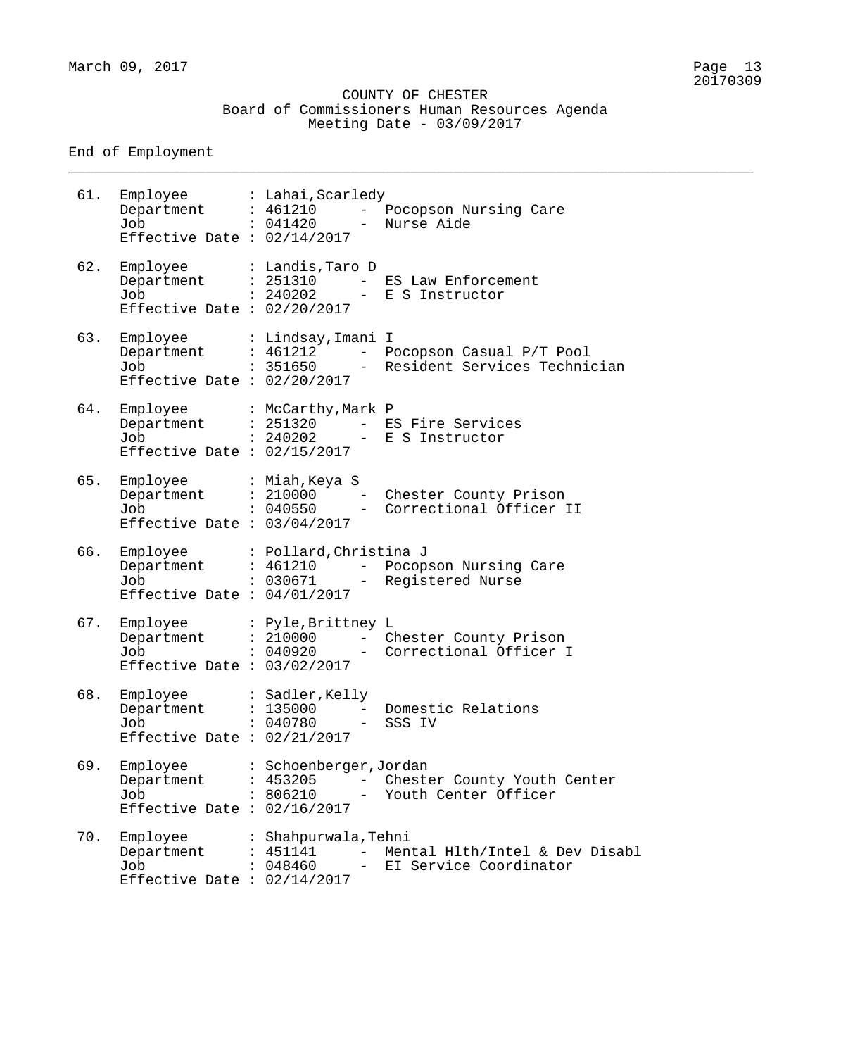\_\_\_\_\_\_\_\_\_\_\_\_\_\_\_\_\_\_\_\_\_\_\_\_\_\_\_\_\_\_\_\_\_\_\_\_\_\_\_\_\_\_\_\_\_\_\_\_\_\_\_\_\_\_\_\_\_\_\_\_\_\_\_\_\_\_\_\_\_\_\_\_\_\_\_\_\_\_\_\_

End of Employment

| 61. | Employee : Lahai, Scarledy<br>Department : 461210<br>Job<br>Effective Date : $02/14/2017$      | : 041420                                    | $\frac{1}{2}$ | Pocopson Nursing Care<br>Nurse Aide                                               |
|-----|------------------------------------------------------------------------------------------------|---------------------------------------------|---------------|-----------------------------------------------------------------------------------|
| 62. | Employee<br>Department : 251310<br>Job<br>Effective Date : $02/20/2017$                        | : Landis,Taro D                             |               | - ES Law Enforcement<br>: 240202 - E S Instructor                                 |
| 63. | Employee<br>Department : 461212<br>Job<br>Effective Date : $02/20/2017$                        | : Lindsay, Imani I                          |               | - Pocopson Casual P/T Pool<br>: 351650     – Resident Services Technician         |
| 64. | Employee : McCarthy, Mark P<br>Department : 251320<br>Job<br>Effective Date : $02/15/2017$     |                                             |               | - ES Fire Services<br>: 240202 - E S Instructor                                   |
| 65. | Employee<br>Job<br>Effective Date : $03/04/2017$                                               | : Miah,Keya S                               |               | Department : 210000 - Chester County Prison<br>: 040550 - Correctional Officer II |
| 66. | Employee : Pollard, Christina J<br>Department : 461210<br>Job<br>Effective Date : $04/01/2017$ |                                             |               | - Pocopson Nursing Care<br>: 030671 - Registered Nurse                            |
| 67. | Employee<br>Department : 210000<br>Job<br>Effective Date : $03/02/2017$                        | : Pyle, Brittney L                          | $\frac{1}{2}$ | Chester County Prison<br>: 040920 - Correctional Officer I                        |
| 68. | Employee<br>Department<br>Job<br>Effective Date : $02/21/2017$                                 | : Sadler, Kelly<br>$: 135000 -$<br>: 040780 |               | Domestic Relations<br>SSS IV                                                      |
| 69. | Employee<br>Department<br>Job<br>Effective Date : $02/16/2017$                                 | : Schoenberger, Jordan<br>: 453205          | $-$           | Chester County Youth Center<br>: 806210 - Youth Center Officer                    |
| 70. | Employee<br>Department<br>Job<br>Effective Date : $02/14/2017$                                 | : Shahpurwala, Tehni<br>: 451141            | $\frac{1}{2}$ | Mental H1th/Intel & Dev Disabl<br>: 048460 - EI Service Coordinator               |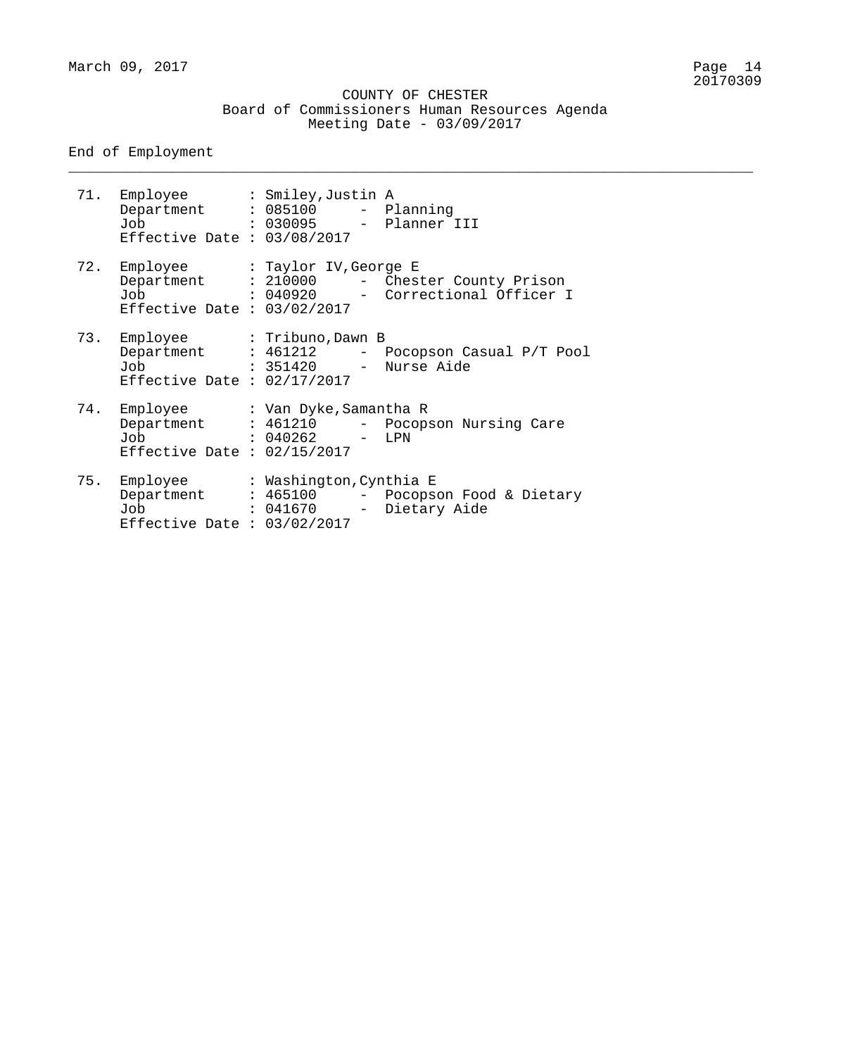\_\_\_\_\_\_\_\_\_\_\_\_\_\_\_\_\_\_\_\_\_\_\_\_\_\_\_\_\_\_\_\_\_\_\_\_\_\_\_\_\_\_\_\_\_\_\_\_\_\_\_\_\_\_\_\_\_\_\_\_\_\_\_\_\_\_\_\_\_\_\_\_\_\_\_\_\_\_\_\_

#### End of Employment

| Job<br>Effective Date : $03/08/2017$                                   | 71. Employee : Smiley, Justin A<br>Department : 085100 - Planning<br>: 030095 - Planner III                                |
|------------------------------------------------------------------------|----------------------------------------------------------------------------------------------------------------------------|
| Effective Date : $03/02/2017$                                          | 72. Employee : Taylor IV, George E<br>Department : 210000 - Chester County Prison<br>Job : 040920 - Correctional Officer I |
| 73. Employee : Tribuno, Dawn B<br>Job<br>Effective Date : $02/17/2017$ | Department : 461212 - Pocopson Casual P/T Pool<br>: 351420 - Nurse Aide                                                    |
| Effective Date : $02/15/2017$                                          | 74. Employee : Van Dyke, Samantha R<br>Department : 461210 - Pocopson Nursing Care<br>$Job$ : 040262 - LPN                 |
| Effective Date : $03/02/2017$                                          | 75. Employee : Washington, Cynthia E<br>Department : 465100 - Pocopson Food & Dietary<br>Job : 041670 - Dietary Aide       |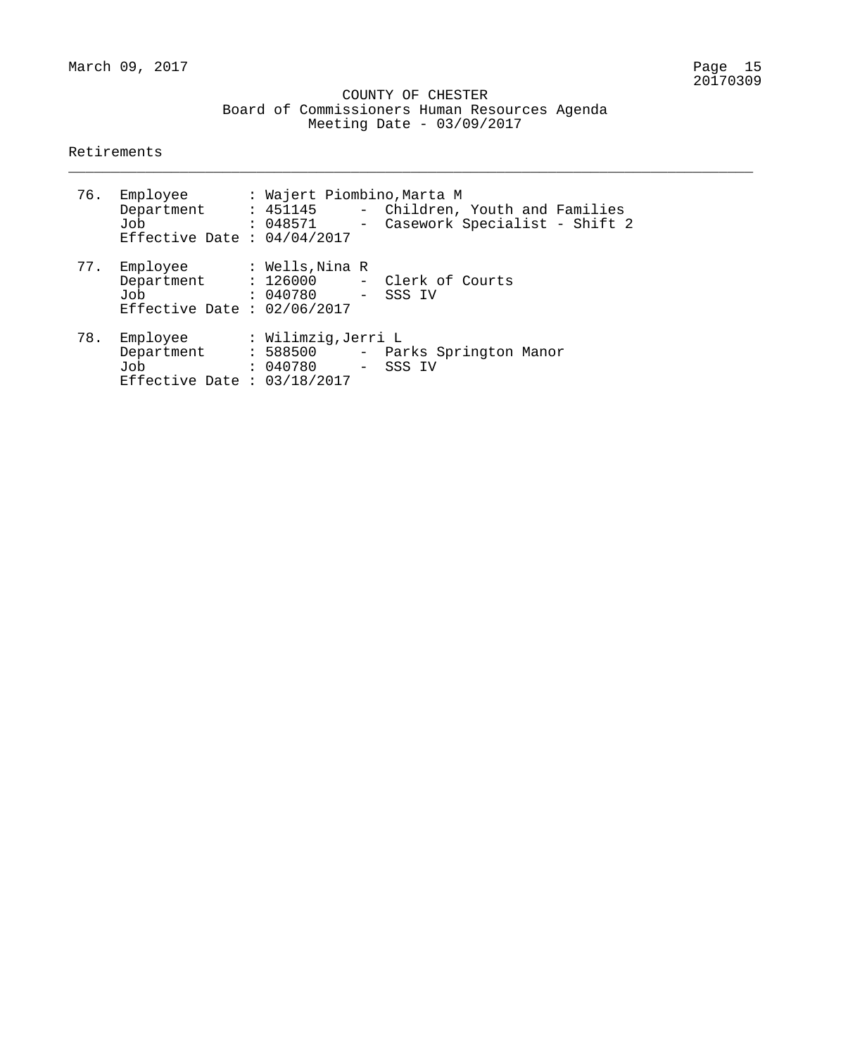\_\_\_\_\_\_\_\_\_\_\_\_\_\_\_\_\_\_\_\_\_\_\_\_\_\_\_\_\_\_\_\_\_\_\_\_\_\_\_\_\_\_\_\_\_\_\_\_\_\_\_\_\_\_\_\_\_\_\_\_\_\_\_\_\_\_\_\_\_\_\_\_\_\_\_\_\_\_\_\_

#### Retirements

|     | 76. Employee<br>Department<br>Job<br>Effective Date : $04/04/2017$ | : Wajert Piombino, Marta M              | : 451145 - Children, Youth and Families<br>: 048571 - Casework Specialist - Shift 2 |
|-----|--------------------------------------------------------------------|-----------------------------------------|-------------------------------------------------------------------------------------|
|     | 77. Employee<br>Job<br>Effective Date : $02/06/2017$               | : Wells,Nina R<br>: 040780 - SSS IV     | Department : 126000 - Clerk of Courts                                               |
| 78. | Employee<br>Department<br>Job<br>Effective Date : $03/18/2017$     | : Wilimzig,Jerri L<br>: 040780 - SSS IV | : 588500 - Parks Springton Manor                                                    |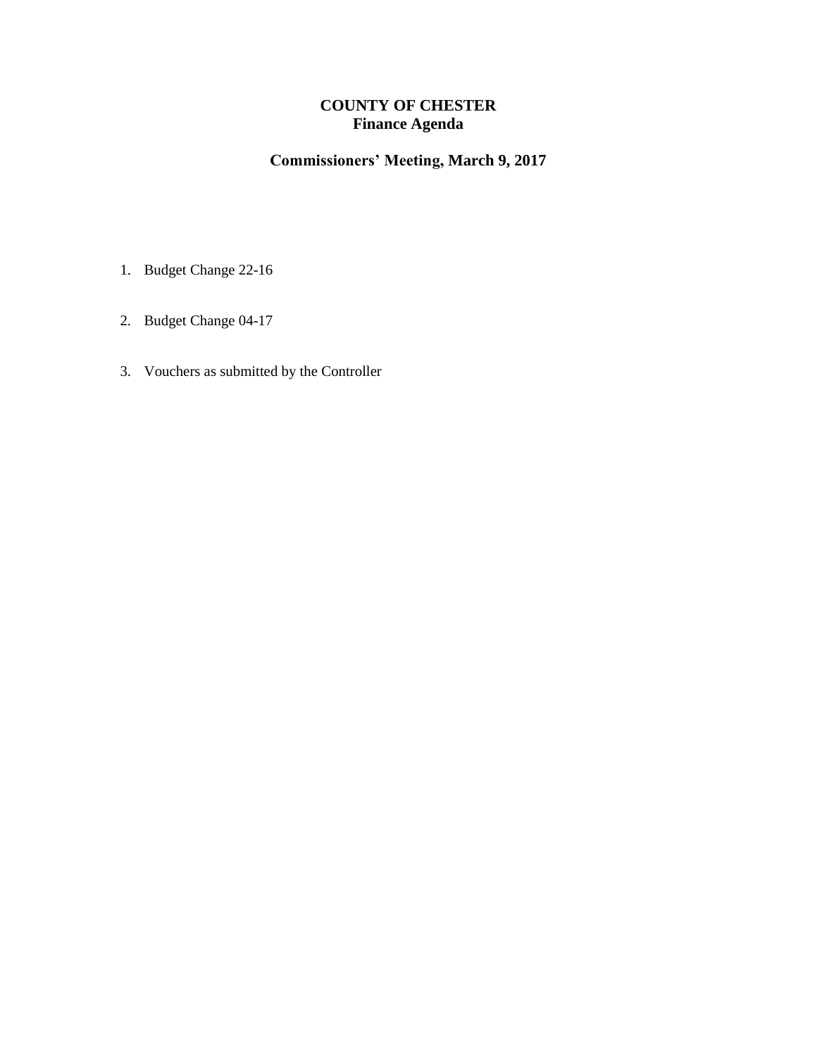## **COUNTY OF CHESTER Finance Agenda**

## **Commissioners' Meeting, March 9, 2017**

- 1. Budget Change 22-16
- 2. Budget Change 04-17
- 3. Vouchers as submitted by the Controller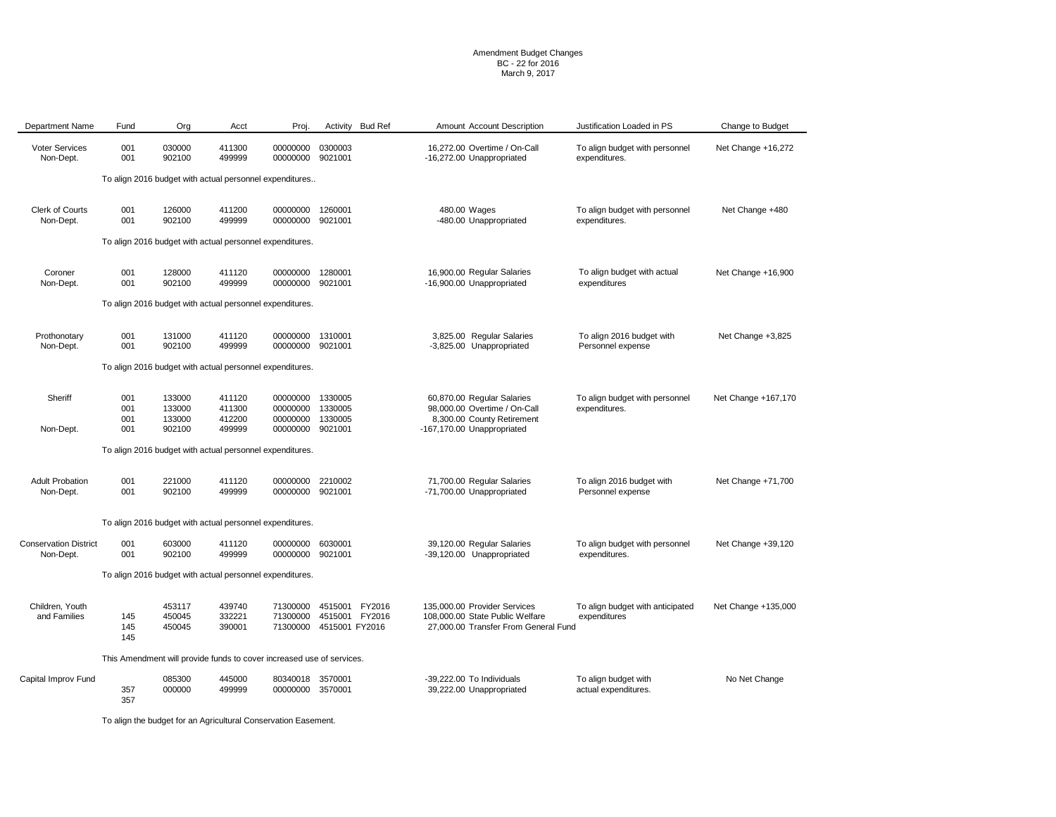#### Amendment Budget Changes BC - 22 for 2016 March 9, 2017

| <b>Department Name</b>                                   | Fund              | Org                                                                   | Acct                       | Proj.                                           | Activity                         | <b>Bud Ref</b> | Amount Account Description                                                                              | Justification Loaded in PS                       | Change to Budget    |  |  |
|----------------------------------------------------------|-------------------|-----------------------------------------------------------------------|----------------------------|-------------------------------------------------|----------------------------------|----------------|---------------------------------------------------------------------------------------------------------|--------------------------------------------------|---------------------|--|--|
| <b>Voter Services</b><br>Non-Dept.                       | 001<br>001        | 030000<br>902100                                                      | 411300<br>499999           | 00000000<br>00000000                            | 0300003<br>9021001               |                | 16.272.00 Overtime / On-Call<br>-16,272.00 Unappropriated                                               | To align budget with personnel<br>expenditures.  | Net Change +16,272  |  |  |
|                                                          |                   | To align 2016 budget with actual personnel expenditures               |                            |                                                 |                                  |                |                                                                                                         |                                                  |                     |  |  |
| Clerk of Courts<br>Non-Dept.                             | 001<br>001        | 126000<br>902100                                                      | 411200<br>499999           | 00000000 1260001<br>00000000                    | 9021001                          |                | 480.00 Wages<br>-480.00 Unappropriated                                                                  | To align budget with personnel<br>expenditures.  | Net Change +480     |  |  |
| To align 2016 budget with actual personnel expenditures. |                   |                                                                       |                            |                                                 |                                  |                |                                                                                                         |                                                  |                     |  |  |
| Coroner<br>Non-Dept.                                     | 001<br>001        | 128000<br>902100                                                      | 411120<br>499999           | 00000000<br>00000000                            | 1280001<br>9021001               |                | 16,900.00 Regular Salaries<br>-16,900.00 Unappropriated                                                 | To align budget with actual<br>expenditures      | Net Change +16,900  |  |  |
|                                                          |                   | To align 2016 budget with actual personnel expenditures.              |                            |                                                 |                                  |                |                                                                                                         |                                                  |                     |  |  |
| Prothonotary<br>Non-Dept.                                | 001<br>001        | 131000<br>902100                                                      | 411120<br>499999           | 00000000 1310001<br>00000000                    | 9021001                          |                | 3,825.00 Regular Salaries<br>-3,825.00 Unappropriated                                                   | To align 2016 budget with<br>Personnel expense   | Net Change +3,825   |  |  |
|                                                          |                   | To align 2016 budget with actual personnel expenditures.              |                            |                                                 |                                  |                |                                                                                                         |                                                  |                     |  |  |
| Sheriff                                                  | 001<br>001<br>001 | 133000<br>133000<br>133000                                            | 411120<br>411300<br>412200 | 00000000 1330005<br>00000000<br>00000000        | 1330005<br>1330005               |                | 60,870.00 Regular Salaries<br>98,000.00 Overtime / On-Call<br>8,300.00 County Retirement                | To align budget with personnel<br>expenditures.  | Net Change +167,170 |  |  |
| Non-Dept.                                                | 001               | 902100                                                                | 499999                     | 00000000 9021001                                |                                  |                | -167,170.00 Unappropriated                                                                              |                                                  |                     |  |  |
|                                                          |                   | To align 2016 budget with actual personnel expenditures.              |                            |                                                 |                                  |                |                                                                                                         |                                                  |                     |  |  |
| <b>Adult Probation</b><br>Non-Dept.                      | 001<br>001        | 221000<br>902100                                                      | 411120<br>499999           | 00000000<br>00000000 9021001                    | 2210002                          |                | 71,700.00 Regular Salaries<br>-71,700.00 Unappropriated                                                 | To align 2016 budget with<br>Personnel expense   | Net Change +71,700  |  |  |
|                                                          |                   | To align 2016 budget with actual personnel expenditures.              |                            |                                                 |                                  |                |                                                                                                         |                                                  |                     |  |  |
| <b>Conservation District</b><br>Non-Dept.                | 001<br>001        | 603000<br>902100                                                      | 411120<br>499999           | 00000000<br>00000000 9021001                    | 6030001                          |                | 39,120.00 Regular Salaries<br>-39,120.00 Unappropriated                                                 | To align budget with personnel<br>expenditures.  | Net Change +39,120  |  |  |
|                                                          |                   | To align 2016 budget with actual personnel expenditures.              |                            |                                                 |                                  |                |                                                                                                         |                                                  |                     |  |  |
| Children, Youth<br>and Families                          | 145<br>145<br>145 | 453117<br>450045<br>450045                                            | 439740<br>332221<br>390001 | 71300000<br>71300000<br>71300000 4515001 FY2016 | 4515001 FY2016<br>4515001 FY2016 |                | 135,000.00 Provider Services<br>108,000.00 State Public Welfare<br>27,000.00 Transfer From General Fund | To align budget with anticipated<br>expenditures | Net Change +135,000 |  |  |
|                                                          |                   | This Amendment will provide funds to cover increased use of services. |                            |                                                 |                                  |                |                                                                                                         |                                                  |                     |  |  |
| Capital Improv Fund                                      | 357<br>357        | 085300<br>000000                                                      | 445000<br>499999           | 80340018<br>00000000 3570001                    | 3570001                          |                | -39.222.00 To Individuals<br>39,222.00 Unappropriated                                                   | To align budget with<br>actual expenditures.     | No Net Change       |  |  |

To align the budget for an Agricultural Conservation Easement.